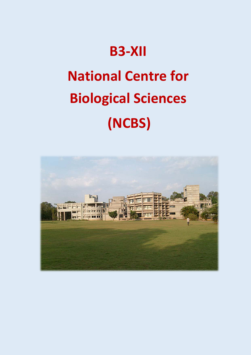## **B3-XII**

# **National Centre for Biological Sciences (NCBS)**

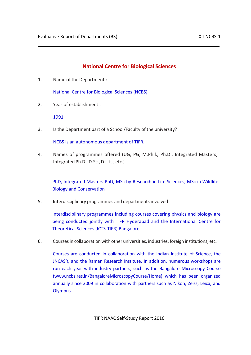### **National Centre for Biological Sciences**

1. Name of the Department :

National Centre for Biological Sciences (NCBS)

2. Year of establishment :

1991

3. Is the Department part of a School/Faculty of the university?

NCBS is an autonomous department of TIFR.

4. Names of programmes offered (UG, PG, M.Phil., Ph.D., Integrated Masters; Integrated Ph.D., D.Sc., D.Litt., etc.)

PhD, Integrated Masters-PhD, MSc-by-Research in Life Sciences, MSc in Wildlife Biology and Conservation

5. Interdisciplinary programmes and departments involved

Interdisciplinary programmes including courses covering physics and biology are being conducted jointly with TIFR Hyderabad and the International Centre for Theoretical Sciences (ICTS-TIFR) Bangalore.

6. Coursesin collaboration with other universities, industries, foreign institutions, etc.

Courses are conducted in collaboration with the Indian Institute of Science, the JNCASR, and the Raman Research Institute. In addition, numerous workshops are run each year with industry partners, such as the Bangalore Microscopy Course (www.ncbs.res.in/BangaloreMicroscopyCourse/Home) which has been organized annually since 2009 in collaboration with partners such as Nikon, Zeiss, Leica, and Olympus.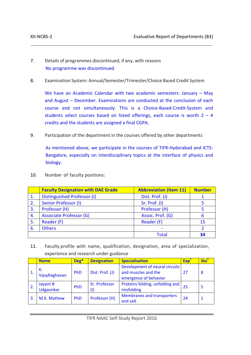- 7. Details of programmes discontinued, if any, with reasons No programme was discontinued.
- 8. Examination System: Annual/Semester/Trimester/Choice Based Credit System

We have an Academic Calendar with two academic semesters: January – May and August – December. Examinations are conducted at the conclusion of each course and not simultaneously. This is a Choice-Based-Credit-System and students select courses based on listed offerings, each course is worth  $2 - 4$ credits and the students are assigned a final CGPA.

9. Participation of the department in the courses offered by other departments

As mentioned above, we participate in the courses of TIFR-Hyderabad and ICTS-Bangalore, especially on interdisciplinary topics at the interface of physics and biology.

|    | <b>Faculty Designation with DAE Grade</b> | <b>Abbreviation (Item 11)</b> | <b>Number</b> |
|----|-------------------------------------------|-------------------------------|---------------|
| 1. | Distinguished Professor (J)               | Dist. Prof. (J)               |               |
| 2. | Senior Professor (I)                      | Sr. Prof. (I)                 |               |
| 3. | Professor (H)                             | Professor (H)                 |               |
| 4. | <b>Associate Professor (G)</b>            | Assoc. Prof. (G)              | 6             |
| 5. | Reader (F)                                | Reader (F)                    | 15            |
| 6. | <b>Others</b>                             |                               | C.            |
|    |                                           | Total                         |               |

10. Number of faculty positions:

11. Faculty profile with name, qualification, designation, area of specialization, experience and research under guidance

| <b>Name</b>           | Deg*       | <b>Designation</b>   | <b>Specialisation</b>                                                          | <b>Exp</b> | Stu <sup>1</sup> |
|-----------------------|------------|----------------------|--------------------------------------------------------------------------------|------------|------------------|
| К.<br>VijayRaghavan   | <b>PhD</b> | Dist. Prof. (J)      | Development of neural circuits<br>and muscles and the<br>emergence of behavior | 27         | 8                |
| Jayant B<br>Udgaonkar | <b>PhD</b> | Sr. Professor<br>(1) | Proteins folding, unfolding and<br>misfolding                                  | 25         | 5                |
| M.K. Mathew           | <b>PhD</b> | Professor (H)        | <b>Membranes and transporters</b><br>and salt                                  | 24         |                  |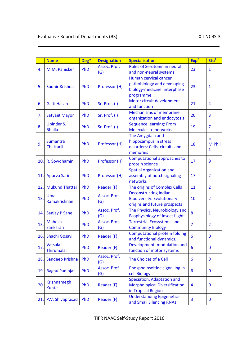#### Evaluative Report of Departments (B3) Solution Control of Departments (B3) SIL-NCBS-3

|     | <b>Name</b>                        | Deg* | <b>Designation</b>  | <b>Specialisation</b>                                                                             | Exp <sup>+</sup> | Stu <sup>‡</sup> |
|-----|------------------------------------|------|---------------------|---------------------------------------------------------------------------------------------------|------------------|------------------|
| 4.  | M.M. Panicker                      | PhD  | Assoc. Prof.<br>(G) | Roles of Serotonin in neural<br>and non-neural systems                                            | 23               | $\mathbf{1}$     |
| 5.  | Sudhir Krishna                     | PhD  | Professor (H)       | Human cervical cancer<br>pathobiology and developing<br>biology-medicine iinterphase<br>programme | 23               | $\mathbf{1}$     |
| 6.  | <b>Gaiti Hasan</b>                 | PhD  | Sr. Prof. (I)       | Motor circuit development<br>and function                                                         | 21               | 4                |
| 7.  | Satyajit Mayor                     | PhD  | Sr. Prof. (I)       | <b>Mechanisms of membrane</b><br>organization and endocytosis                                     | 20               | 3                |
| 8.  | <b>Upinder S.</b><br><b>Bhalla</b> | PhD  | Sr. Prof. (I)       | <b>Sequence learning: From</b><br><b>Molecules to networks</b>                                    | 19               | $\overline{7}$   |
| 9.  | <b>Sumantra</b><br>Chattarji       | PhD  | Professor (H)       | The Amygdala and<br>hippocampus in stress<br>disorders: Cells, circuits and<br>memories           | 18               | 5<br>M.Phil<br>1 |
| 10. | R. Sowdhamini                      | PhD  | Professor (H)       | <b>Computational approaches to</b><br>protein science                                             | 17               | 9                |
| 11. | <b>Apurva Sarin</b>                | PhD  | Professor (H)       | Spatial organization and<br>assembly of notch signaling<br>networks                               | 17               | 2                |
| 12. | <b>Mukund Thattai</b>              | PhD  | Reader (F)          | The origins of Complex Cells                                                                      | 11               | $\overline{2}$   |
| 13. | Uma<br>Ramakrishnan                | PhD  | Assoc. Prof.<br>(G) | <b>Deconstructing Indian</b><br><b>Biodiversity: Evolutionary</b><br>origins and future prospects | 10               | $\overline{2}$   |
| 14. | <b>Sanjay P Sane</b>               | PhD  | Assoc. Prof.<br>(G) | The Physics, Neurobiology and<br>Ecophysiology of insect flight                                   | 8                | $\mathbf{1}$     |
| 15. | <b>Mahesh</b><br>Sankaran          | PhD  | Assoc. Prof.<br>(G) | <b>Terrestrial Ecosystems and</b><br><b>Community Biology</b>                                     | $\overline{7}$   | $\overline{2}$   |
| 16. | Shachi Gosavi                      | PhD  | Reader (F)          | <b>Computational protein folding</b><br>and functional dynamics.                                  | 6                | $\bf{0}$         |
| 17. | Vatsala<br>Thirumalai              | PhD  | Reader (F)          | Development, modulation and<br>function of motor systems                                          | 6                | 0                |
| 18. | Sandeep Krishna                    | PhD  | Assoc. Prof.<br>(G) | The Choices of a Cell                                                                             | 6                | $\mathbf{0}$     |
| 19. | Raghu Padinjat                     | PhD  | Assoc. Prof.<br>(G) | Phosphoinsoitide signalling in<br>cell Biology                                                    | 6                | 0                |
| 20. | <b>Krishnamegh</b><br><b>Kunte</b> | PhD  | Reader (F)          | Speciation, Adaptation and<br><b>Morphological Diversification</b><br>in Tropical Regions         | 4                | $\bf{0}$         |
| 21. | P.V. Shivaprasad                   | PhD  | Reader (F)          | <b>Understanding Epigenetics</b><br>and Small Silencing RNAs                                      | 3                | 0                |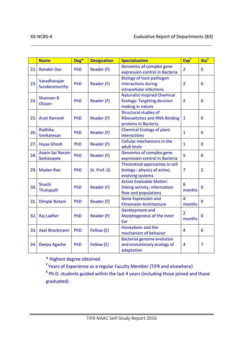|     | <b>Name</b>                           | Deg* | <b>Designation</b> | <b>Specialisation</b>                                                                         | Exp <sup>+</sup>         | Stu <sup>‡</sup> |
|-----|---------------------------------------|------|--------------------|-----------------------------------------------------------------------------------------------|--------------------------|------------------|
| 22. | <b>Ranabir Das</b>                    | PhD  | Reader (F)         | Genomics of complex gene<br>expression control in Bacteria                                    | $\overline{2}$           | $\mathbf 0$      |
| 23. | Varadharajan<br>Sundaramurthy         | PhD  | Reader (F)         | <b>Biology of host-pathogen</b><br>interactions during<br>intracellular infections            | $\overline{2}$           | $\overline{0}$   |
| 24. | <b>Shannon B</b><br><b>Olsson</b>     | PhD  | Reader (F)         | <b>Naturalist-Inspired Chemical</b><br><b>Ecology: Targeting decision</b><br>making in nature | $\overline{2}$           | $\mathbf{0}$     |
| 25. | <b>Arati Ramesh</b>                   | PhD  | Reader (F)         | <b>Structural studies of</b><br><b>Riboswitches and RNA-Binding</b><br>proteins in Bacteria   | 1                        | $\mathbf{0}$     |
| 26. | <b>Radhika</b><br>Venkatesan          | PhD  | Reader (F)         | <b>Chemical Ecology of plant</b><br>interactions                                              | $\mathbf{1}$             | $\mathbf 0$      |
| 27. | <b>Hiyaa Ghosh</b>                    | PhD  | Reader (F)         | Cellular mechanisms in the<br>adult brain                                                     | $\mathbf{1}$             | $\overline{0}$   |
| 28. | <b>Aswin Sai Narain</b><br>Seshasayee | PhD  | Reader (F)         | Genomics of complex gene<br>expression control in Bacteria                                    | 5                        | $\mathbf 0$      |
| 29. | <b>Madan Rao</b>                      | PhD  | Sr. Prof. (I)      | Theoretical approaches in cell<br>biology: physics of active,<br>evolving systems             | $\overline{7}$           | $\overline{2}$   |
| 30. | Shashi<br>Thutupalli                  | PhD  | Reader (F)         | <b>Active Evolvable Matter:</b><br>linking activity, information<br>flow and populations      | 6<br>months              | $\bf{0}$         |
| 31. | <b>Dimple Notani</b>                  | PhD  | Reader (F)         | <b>Gene Expression and</b><br><b>Chromatin Architecture</b>                                   | $\overline{4}$<br>months | $\mathbf 0$      |
| 32. | Raj Ladher                            | PhD  | Reader (F)         | Development and<br>Morphogenesis of the Inner<br>Ear                                          | $\overline{2}$<br>months | 0                |
| 33. | <b>Axel Brockmann</b>                 | PhD  | Fellow (E)         | Honeybees and the<br>mechanism of behavior                                                    | $\overline{4}$           | 6                |
| 34. | Deepa Agashe                          | PhD  | Fellow (E)         | <b>Bacterial genome evolution</b><br>and evolutionary ecology of<br>adaptation                | 4                        | $\overline{7}$   |

\* Highest degree obtained

**†** Years of Experience as a regular Faculty Member (TIFR and elsewhere)

**‡** Ph.D. students guided within the last 4 years (including those joined and those graduated)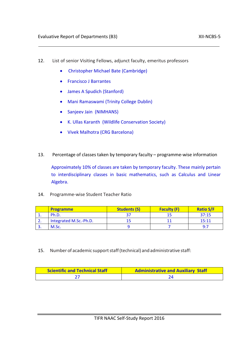- 12. List of senior Visiting Fellows, adjunct faculty, emeritus professors
	- Christopher Michael Bate (Cambridge)
	- Francisco J Barrantes
	- James A Spudich (Stanford)
	- Mani Ramaswami (Trinity College Dublin)
	- Sanjeev Jain (NIMHANS)
	- K. Ullas Karanth (Wildlife Conservation Society)
	- Vivek Malhotra (CRG Barcelona)
- 13. Percentage of classes taken by temporary faculty programme-wise information

Approximately 10% of classes are taken by temporary faculty. These mainly pertain to interdisciplinary classes in basic mathematics, such as Calculus and Linear Algebra.

14. Programme-wise Student Teacher Ratio

|            | <b>Programme</b>       | <b>Students (S)</b> | <b>Faculty (F)</b> | <b>Ratio S/F</b> |
|------------|------------------------|---------------------|--------------------|------------------|
| <b>.</b>   | Ph.D.                  |                     |                    | 37:15            |
| <u>.</u>   | Integrated M.Sc.-Ph.D. |                     |                    | 15:11            |
| <u>. .</u> | M.Sc.                  |                     |                    | Q·7              |

15. Number of academic supportstaff(technical) and administrative staff:

| Scientific and Technical Staff | <b>Administrative and Auxiliary Staff</b> |  |
|--------------------------------|-------------------------------------------|--|
|                                |                                           |  |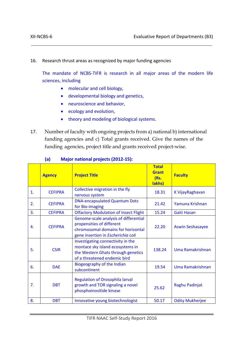16. Research thrust areas as recognized by major funding agencies

The mandate of NCBS-TIFR is research in all major areas of the modern life sciences, including

- molecular and cell biology,
- developmental biology and genetics,
- neuroscience and behavior,
- ecology and evolution,
- theory and modeling of biological systems.
- 17. Number of faculty with ongoing projects from a) national b) international funding agencies and c) Total grants received. Give the names of the funding agencies, project title and grants received project-wise.

|    | <b>Agency</b>  | <b>Project Title</b>                                                                                                                           | <b>Total</b><br><b>Grant</b><br>(Rs.<br>lakhs) | <b>Faculty</b>          |
|----|----------------|------------------------------------------------------------------------------------------------------------------------------------------------|------------------------------------------------|-------------------------|
| 1. | <b>CEFIPRA</b> | Collective migration in the fly<br>nervous system                                                                                              | 18.31                                          | K VijayRaghavan         |
| 2. | <b>CEFIPRA</b> | <b>DNA-encapsulated Quantum Dots</b><br>for Bio-imaging                                                                                        | 21.42                                          | Yamuna Krishnan         |
| 3. | <b>CEFIPRA</b> | <b>Olfactory Modulation of Insect Flight</b>                                                                                                   | 15.24                                          | Gaiti Hasan             |
| 4. | <b>CEFIPRA</b> | Genome-scale analysis of differential<br>propensities of different<br>chromosomal domains for horizontal<br>gene insertion in Escherichia coli | 22.20                                          | <b>Aswin Seshasayee</b> |
| 5. | <b>CSIR</b>    | Investigating connectivity in the<br>montace sky island ecosystems in<br>the Western Ghats through genetics<br>of a threatened endemic bird    | 138.24                                         | Uma Ramakrishnan        |
| 6. | <b>DAF</b>     | Biogeography of the Indian<br>subcontinent                                                                                                     | 19.54                                          | Uma Ramakrishnan        |
| 7. | <b>DBT</b>     | <b>Regulation of Drosophila larval</b><br>growth and TOR signaling a novel<br>phosphoinositide kinase                                          | 25.62                                          | Raghu Padinjat          |
| 8. | <b>DBT</b>     | Innovative young biotechnologist                                                                                                               | 50.17                                          | <b>Odity Mukherjee</b>  |

#### **(a) Major national projects (2012-15):**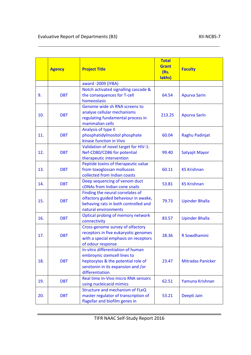|     | <b>Agency</b> | <b>Project Title</b>                                                                                                                                            | <b>Total</b><br><b>Grant</b><br>(Rs.<br>lakhs) | <b>Faculty</b>           |
|-----|---------------|-----------------------------------------------------------------------------------------------------------------------------------------------------------------|------------------------------------------------|--------------------------|
|     |               | award -2009 (IYBA)                                                                                                                                              |                                                |                          |
| 9.  | <b>DBT</b>    | Notch activated signalling cascade &<br>the consequences for T-cell<br>homeostasis                                                                              | 64.54                                          | <b>Apurva Sarin</b>      |
| 10. | <b>DBT</b>    | Genome wide sh RNA screens to<br>analyse cellular mechanisms<br>regulating fundamental process in<br>mammalian cells                                            | 213.25                                         | <b>Apurva Sarin</b>      |
| 11. | <b>DBT</b>    | Analysis of type II<br>phosphatidylinositol phosphate<br>kinase function in Vivo                                                                                | 60.04                                          | Raghu Padinjat           |
| 12. | <b>DBT</b>    | Validation of novel target for HIV-1:<br>Nef-CD80/CD86 for potential<br>therapeutic intervention                                                                | 99.40                                          | Satyajit Mayor           |
| 13. | <b>DBT</b>    | Peptide toxins of therapeutic value<br>from toxoglossan mollusces<br>collected from Indian coasts                                                               | 60.11                                          | <b>KS Krishnan</b>       |
| 14. | <b>DBT</b>    | Deep sequencing of venom duct<br>cDNAs from Indian cone snails                                                                                                  | 53.81                                          | <b>KS Krishnan</b>       |
| 15. | <b>DBT</b>    | Finding the neural correlates of<br>olfactory guided behaviour in awake,<br>behaving rats in both controlled and<br>natural environments                        | 79.73                                          | <b>Upinder Bhalla</b>    |
| 16. | <b>DBT</b>    | Optical probing of memory network<br>connectivity                                                                                                               | 83.57                                          | <b>Upinder Bhalla</b>    |
| 17. | <b>DBT</b>    | Cross-genome survey of olfactory<br>receptors in five eukaryotic genomes<br>with a special emphasis on receptors<br>of odour response                           | 28.36                                          | R Sowdhamini             |
| 18. | <b>DBT</b>    | In-vitro differentiation of human<br>embroynic stemcell lines to<br>heptocytes & the potential role of<br>serotonin in its expansion and /or<br>differentiation | 23.47                                          | <b>Mitradas Panicker</b> |
| 19. | <b>DBT</b>    | Real time In-Vivo micro RNA sensors<br>using nucleicacid mimics                                                                                                 | 62.51                                          | Yamuna Krishnan          |
| 20. | <b>DBT</b>    | Structure and mechanism of FLeQ<br>master regulator of transcription of<br>flagellar and biofilm genes in                                                       | 53.21                                          | Deepti Jain              |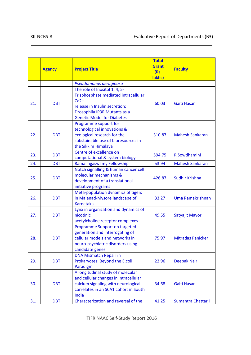|            | <b>Agency</b>            | <b>Project Title</b>                                                                                                                                                                                        | <b>Total</b><br><b>Grant</b><br>(Rs.<br>lakhs) | <b>Faculty</b>                           |
|------------|--------------------------|-------------------------------------------------------------------------------------------------------------------------------------------------------------------------------------------------------------|------------------------------------------------|------------------------------------------|
|            |                          | Pseudomonas aeruginosa                                                                                                                                                                                      |                                                |                                          |
| 21.        | <b>DBT</b>               | The role of Inositol 1, 4, 5-<br>Trisphosphate mediated intracellular<br>$Ca2+$<br>release in Insulin secretion:<br>Drosophila IP3R Mutants as a<br><b>Genetic Model for Diabetes</b>                       | 60.03                                          | <b>Gaiti Hasan</b>                       |
| 22.        | <b>DBT</b>               | Programme support for<br>technological innovations &<br>ecological research for the<br>substainable use of bioresources in<br>the Sikkim Himalaya                                                           | 310.87                                         | <b>Mahesh Sankaran</b>                   |
| 23.        | <b>DBT</b>               | Centre of excellence on<br>computational & system biology                                                                                                                                                   | 594.75                                         | R Sowdhamini                             |
| 24.        | <b>DBT</b>               | Ramalingaswamy Fellowship                                                                                                                                                                                   | 53.94                                          | <b>Mahesh Sankaran</b>                   |
| 25.        | <b>DBT</b>               | Notch signalling & human cancer cell<br>molecular mechanisms &<br>development of a translational<br>initiative programs                                                                                     | 426.87                                         | <b>Sudhir Krishna</b>                    |
| 26.        | <b>DBT</b>               | Meta-population dynamics of tigers<br>in Malenad-Mysore landscape of<br><b>Karnataka</b>                                                                                                                    | 33.27                                          | Uma Ramakrishnan                         |
| 27.        | <b>DBT</b>               | Lynx in organization and dynamics of<br>nicotinic<br>acetylcholine receptor complexes                                                                                                                       | 49.55                                          | Satyajit Mayor                           |
| 28.        | <b>DBT</b>               | Programme Support on targeted<br>generation and interrogating of<br>cellular models and networks in<br>neuro-psychiatric disorders using<br>candidate genes                                                 | 75.97                                          | <b>Mitradas Panicker</b>                 |
| 29.        | <b>DBT</b>               | <b>DNA Mismatch Repair in</b><br>Prokaryotes: Beyond the E.coli<br>Paradigm                                                                                                                                 | 22.96                                          | <b>Deepak Nair</b>                       |
| 30.<br>31. | <b>DBT</b><br><b>DBT</b> | A longitudinal study of molecular<br>and cellular changes in intracellular<br>calcium signaling with neurological<br>correlates in an SCA1 cohort in South<br>India<br>Characterization and reversal of the | 34.68<br>41.25                                 | <b>Gaiti Hasan</b><br>Sumantra Chattarji |
|            |                          |                                                                                                                                                                                                             |                                                |                                          |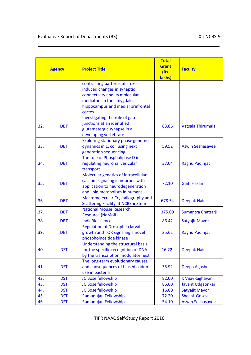|     | <b>Agency</b> | <b>Project Title</b>                                                                                                                                                          | <b>Total</b><br><b>Grant</b><br>(Rs.<br>lakhs) | <b>Faculty</b>          |
|-----|---------------|-------------------------------------------------------------------------------------------------------------------------------------------------------------------------------|------------------------------------------------|-------------------------|
|     |               | contrasting patterns of stress-<br>induced changes in synaptic<br>connectivity and its molecular<br>mediators in the amygdale,<br>hippocampus and medial prefrontal<br>cortex |                                                |                         |
| 32. | <b>DBT</b>    | Investigating the role of gap<br>junctions at an identified<br>glutamatergic synapse in a<br>developing vertebrate                                                            | 63.86                                          | Vatsala Thirumalai      |
| 33. | <b>DBT</b>    | <b>Exploring stationary phase genome</b><br>dynamics in E. coli using next<br>generation sequencing                                                                           | 59.52                                          | <b>Aswin Seshasayee</b> |
| 34. | <b>DBT</b>    | The role of Phospholipase D in<br>regulating neuronal vesicular<br>transport                                                                                                  | 37.04                                          | Raghu Padinjat          |
| 35. | <b>DBT</b>    | Molecular genetics of intracellular<br>calcium signaling in neurons with<br>application to neurodegeneration<br>and lipid metabolism in humans                                | 72.10                                          | <b>Gaiti Hasan</b>      |
| 36. | <b>DBT</b>    | Macromolecular Crystallography and<br><b>Scattering Facility at NCBS-inStem</b>                                                                                               | 678.54                                         | <b>Deepak Nair</b>      |
| 37. | <b>DBT</b>    | <b>National Mouse Research</b><br><b>Resource (NaMoR)</b>                                                                                                                     | 375.00                                         | Sumantra Chattarji      |
| 38. | <b>DBT</b>    | IndiaBioscience                                                                                                                                                               | 86.42                                          | Satyajit Mayor          |
| 39. | <b>DBT</b>    | <b>Regulation of Drosophila larval</b><br>growth and TOR signaling a novel<br>phosphoinositide kinase                                                                         | 25.62                                          | Raghu Padinjat          |
| 40. | <b>DST</b>    | Understanding the structural basis<br>for the specific recognition of DNA<br>by the transcription modulator hest                                                              | 16.22                                          | <b>Deepak Nair</b>      |
| 41. | <b>DST</b>    | The long-term evolutionary causes<br>and consequences of biased codon<br>use in bacteria                                                                                      | 35.92                                          | Deepa Agashe            |
| 42. | <b>DST</b>    | JC Bose fellowship                                                                                                                                                            | 82.00                                          | K VijayRaghavan         |
| 43. | <b>DST</b>    | JC Bose fellowship                                                                                                                                                            | 86.60                                          | Jayant Udgaonkar        |
| 44. | <b>DST</b>    | JC Bose fellowship                                                                                                                                                            | 16.00                                          | Satyajit Mayor          |
| 45. | <b>DST</b>    | Ramanujan Fellowship                                                                                                                                                          | 72.20                                          | Shachi Gosavi           |
| 46. | <b>DST</b>    | Ramanujan Fellowship                                                                                                                                                          | 54.10                                          | <b>Aswin Seshasayee</b> |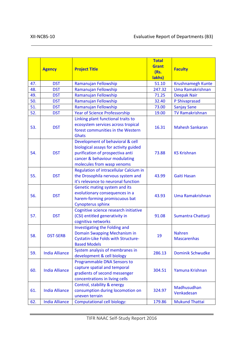|     | <b>Agency</b>         | <b>Project Title</b>                                                                                                                                                         | <b>Total</b><br><b>Grant</b><br>(Rs.<br>lakhs) | <b>Faculty</b>                      |
|-----|-----------------------|------------------------------------------------------------------------------------------------------------------------------------------------------------------------------|------------------------------------------------|-------------------------------------|
| 47. | <b>DST</b>            | Ramanujan Fellowship                                                                                                                                                         | 51.10                                          | Krushnamegh Kunte                   |
| 48. | <b>DST</b>            | Ramanujan Fellowship                                                                                                                                                         | 247.32                                         | Uma Ramakrishnan                    |
| 49. | <b>DST</b>            | Ramanujan Fellowship                                                                                                                                                         | 71.25                                          | <b>Deepak Nair</b>                  |
| 50. | <b>DST</b>            | Ramanujan Fellowship                                                                                                                                                         | 32.40                                          | P Shivaprasad                       |
| 51. | <b>DST</b>            | Ramanujan Fellowship                                                                                                                                                         | 73.00                                          | <b>Sanjay Sane</b>                  |
| 52. | <b>DST</b>            | <b>Year of Science Professorship</b>                                                                                                                                         | 19.00                                          | <b>TV Ramakrishnan</b>              |
| 53. | <b>DST</b>            | Linking plant functional traits to<br>ecosystem services across tropical<br>forest communities in the Western<br><b>Ghats</b>                                                | 16.31                                          | <b>Mahesh Sankaran</b>              |
| 54. | <b>DST</b>            | Development of behavioral & cell<br>biological assays for activity guided<br>purification of prospectiva anti<br>cancer & behaviour modulating<br>molecules from wasp venoms | 73.88                                          | <b>KS Krishnan</b>                  |
| 55. | <b>DST</b>            | Regulation of intracellular Calcium in<br>the Drosophila nervous system and<br>it's relevance to neuronal function                                                           | 43.99                                          | Gaiti Hasan                         |
| 56. | <b>DST</b>            | Genetic mating system and its<br>evolutionary consequences in a<br>harem-forming promiscuous bat<br><b>Cynopterus sphinx</b>                                                 | 43.93                                          | Uma Ramakrishnan                    |
| 57. | <b>DST</b>            | Cognitive science research initiative<br>(CSI) entitled generativity in<br>cognitiva networks                                                                                | 91.08                                          | Sumantra Chattarji                  |
| 58. | <b>DST-SERB</b>       | Investigating the Folding and<br>Domain Swapping Mechanism in<br>Cystatin-Like Folds with Structure-<br><b>Based Models</b>                                                  | 19                                             | <b>Nahren</b><br><b>Mascarenhas</b> |
| 59. | <b>India Alliance</b> | System analysis of membranes in<br>development & cell biology                                                                                                                | 286.13                                         | <b>Dominik Schwudke</b>             |
| 60. | <b>India Alliance</b> | Programmable DNA Sensors to<br>capture spatial and temporal<br>gradients of second messenger<br>concentrations in living cells                                               | 304.51                                         | Yamuna Krishnan                     |
| 61. | <b>India Alliance</b> | Control, stability & energy<br>consumption during locomotion on<br>uneven terrain                                                                                            | 324.97                                         | Madhusudhan<br>Venkadesan           |
| 62. | <b>India Alliance</b> | <b>Computational cell biology:</b>                                                                                                                                           | 179.86                                         | <b>Mukund Thattai</b>               |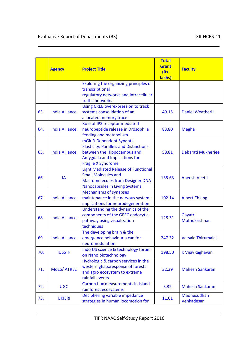|     | <b>Agency</b>         | <b>Project Title</b>                                                                                                                                            | <b>Total</b><br><b>Grant</b><br>(Rs.<br>lakhs) | <b>Faculty</b>            |
|-----|-----------------------|-----------------------------------------------------------------------------------------------------------------------------------------------------------------|------------------------------------------------|---------------------------|
|     |                       | Exploring the organizing principles of<br>transcriptional<br>regulatory networks and intracellular<br>traffic networks                                          |                                                |                           |
| 63. | <b>India Alliance</b> | Using CREB overexpression to track<br>systems consolidation of an<br>allocated memory trace                                                                     | 49.15                                          | <b>Daniel Weatherill</b>  |
| 64. | <b>India Alliance</b> | Role of IP3 receptor mediated<br>neuropeptide release in Drosophila<br>feeding and metabolism                                                                   | 83.80                                          | <b>Megha</b>              |
| 65. | <b>India Alliance</b> | mGluR-Dependent Synaptic<br><b>Plasticity: Parallels and Distinctions</b><br>between the Hippocampus and<br>Amygdala and Implications for<br>Fragile X Syndrome | 58.81                                          | Debarati Mukherjee        |
| 66. | IA                    | <b>Light Mediated Release of Functional</b><br><b>Small Molecules and</b><br><b>Macromolecules from Designer DNA</b><br><b>Nanocapsules in Living Systems</b>   | 135.63                                         | <b>Aneesh Veetil</b>      |
| 67. | <b>India Alliance</b> | <b>Mechanisms of synapses</b><br>maintenance in the nervous system-<br>implications for neurodegeneration                                                       | 102.14                                         | <b>Albert Chiang</b>      |
| 68. | <b>India Alliance</b> | Understanding the dynamics of the<br>components of the GEEC endocytic<br>pathway using visualization<br>techniques                                              | 128.31                                         | Gayatri<br>Muthukrishnan  |
| 69. | <b>India Alliance</b> | The developing brain & the<br>emergence behaviour a can for<br>neuromodulation                                                                                  | 247.32                                         | Vatsala Thirumalai        |
| 70. | <b>IUSSTF</b>         | Indo US science & technology forum<br>on Nano biotechnology                                                                                                     | 198.50                                         | K VijayRaghavan           |
| 71. | MoES/ ATREE           | Hydrologic & carbon services in the<br>western ghats:response of forests<br>and agro ecosystem to extreme<br>rainfall events                                    | 32.39                                          | <b>Mahesh Sankaran</b>    |
| 72. | <b>UGC</b>            | Carbon flux measurements in island<br>rainforest ecosystems                                                                                                     | 5.32                                           | <b>Mahesh Sankaran</b>    |
| 73. | <b>UKIERI</b>         | Deciphering variable impedance<br>strategies in human locomotion for                                                                                            | 11.01                                          | Madhusudhan<br>Venkadesan |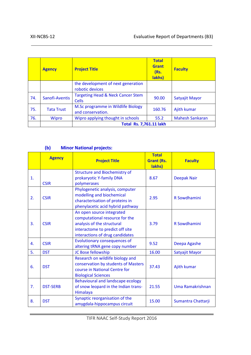|     | <b>Agency</b>     | <b>Project Title</b>                                         | <b>Total</b><br><b>Grant</b><br>(Rs.<br>lakhs) | <b>Faculty</b>         |
|-----|-------------------|--------------------------------------------------------------|------------------------------------------------|------------------------|
|     |                   | the development of next generation<br>robotic devices        |                                                |                        |
| 74. | Sanofi-Aventis    | <b>Targeting Head &amp; Neck Cancer Stem</b><br><b>Cells</b> | 90.00                                          | Satyajit Mayor         |
| 75. | <b>Tata Trust</b> | M.Sc programme in Wildlife Biology<br>and conservation.      | 160.76                                         | Ajith kumar            |
| 76. | Wipro             | Wipro applying thought in schools                            | 55.2                                           | <b>Mahesh Sankaran</b> |
|     |                   | <b>Total Rs. 7,761.11 lakh</b>                               |                                                |                        |

#### **(b) Minor National projects:**

|                | <b>Agency</b>   | <b>Project Title</b>                                            | <b>Total</b><br><b>Grant (Rs.</b><br>lakhs) | <b>Faculty</b>     |
|----------------|-----------------|-----------------------------------------------------------------|---------------------------------------------|--------------------|
|                |                 | <b>Structure and Biochemistry of</b>                            |                                             |                    |
| $\mathbf{1}$ . | <b>CSIR</b>     | prokaryotic Y-family DNA<br>polymerases                         | 8.67                                        | <b>Deepak Nair</b> |
|                |                 | Phylogenetic analysis, computer                                 |                                             |                    |
| 2.             | <b>CSIR</b>     | modelling and biochemical                                       | 2.95                                        | R Sowdhamini       |
|                |                 | characterisation of proteins in                                 |                                             |                    |
|                |                 | phenylacetic acid hybrid pathway                                |                                             |                    |
|                | <b>CSIR</b>     | An open source integrated<br>computational resource for the     |                                             |                    |
| 3.             |                 | analysis of the structural                                      | 3.79                                        | R Sowdhamini       |
|                |                 | interactome to predict off site                                 |                                             |                    |
|                |                 | interactions of drug candidates                                 |                                             |                    |
| 4.             | <b>CSIR</b>     | <b>Evolutionary consequences of</b>                             | 9.52                                        | Deepa Agashe       |
|                |                 | altering tRNA gene copy number                                  |                                             |                    |
| 5.             | <b>DST</b>      | JC Bose fellowship                                              | 16.00                                       | Satyajit Mayor     |
|                |                 | Research on wildlife biology and                                |                                             |                    |
| 6.             | <b>DST</b>      | conservation by students of Masters                             | 37.43                                       | Ajith kumar        |
|                |                 | course in National Centre for                                   |                                             |                    |
|                |                 | <b>Biological Sciences</b><br>Behavioural and landscape ecology |                                             |                    |
| 7.             | <b>DST-SERB</b> | of snow leopard in the Indian trans-                            | 21.55                                       | Uma Ramakrishnan   |
|                |                 | Himalaya                                                        |                                             |                    |
| 8.             | <b>DST</b>      | Synaptic reorganisation of the<br>amygdala-hippocampus circuit  | 15.00                                       | Sumantra Chattarji |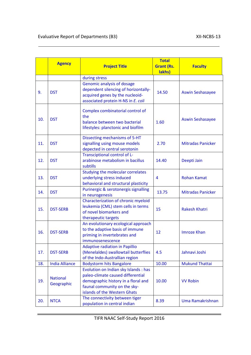|     | <b>Agency</b>                 | <b>Project Title</b>                                                                                                                                                              | <b>Total</b><br><b>Grant (Rs.</b><br>lakhs) | <b>Faculty</b>           |
|-----|-------------------------------|-----------------------------------------------------------------------------------------------------------------------------------------------------------------------------------|---------------------------------------------|--------------------------|
|     |                               | during stress                                                                                                                                                                     |                                             |                          |
| 9.  | <b>DST</b>                    | Genomic analysis of dosage<br>dependent silencing of horizontally-<br>acquired genes by the nucleoid-<br>associated protein H-NS in E. coli                                       | 14.50                                       | <b>Aswin Seshasayee</b>  |
| 10. | <b>DST</b>                    | Complex combinatorial control of<br>the<br>balance between two bacterial<br>lifestyles: planctonic and biofilm                                                                    | 1.60                                        | <b>Aswin Seshasayee</b>  |
| 11. | <b>DST</b>                    | Dissecting mechanisms of 5-HT<br>signalling using mouse models<br>depected in central serotonin                                                                                   | 2.70                                        | <b>Mitradas Panicker</b> |
| 12. | <b>DST</b>                    | Transciptional control of L-<br>arabinose metabolism in bacillus<br>subtills                                                                                                      | 14.40                                       | Deepti Jain              |
| 13. | <b>DST</b>                    | Studying the molecular correlates<br>underlying stress induced<br>behavioral and structural plasticity                                                                            | 4                                           | <b>Rohan Kamat</b>       |
| 14. | <b>DST</b>                    | Purinergic & serotonergis signalling<br>in neurogenesis                                                                                                                           | 13.75                                       | <b>Mitradas Panicker</b> |
| 15. | <b>DST-SERB</b>               | Characterization of chronic myeloid<br>leukemia (CML) stem cells in terms<br>of novel biomarkers and<br>therapeutic targets                                                       | 15                                          | <b>Rakesh Khatri</b>     |
| 16. | <b>DST-SERB</b>               | An evolutionary ecological approach<br>to the adaptive basis of immune<br>priming in invertebrates and<br>immunosenescence                                                        | 12                                          | <b>Imroze Khan</b>       |
| 17. | <b>DST-SERB</b>               | <b>Adaptive radiation in Papillio</b><br>(Menelaldes) swallowtail butterflies<br>of the Indo-Australlian region                                                                   | 4.5                                         | Jahnavi Joshi            |
| 18. | <b>India Alliance</b>         | <b>Bodystorm hits Bangalore</b>                                                                                                                                                   | 10.00                                       | <b>Mukund Thattai</b>    |
| 19. | <b>National</b><br>Geographic | Evolution on Indian sky Islands : has<br>paleo-climate caused differential<br>demographic history in a floral and<br>faunal community on the sky-<br>islands of the Western Ghats | 10.00                                       | <b>VV Robin</b>          |
| 20. | <b>NTCA</b>                   | The connectivity between tiger<br>population in central indian                                                                                                                    | 8.39                                        | Uma Ramakrishnan         |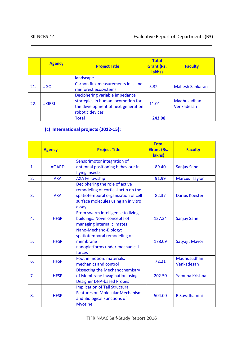|     | <b>Agency</b> | <b>Project Title</b>                                                                                                          | <b>Total</b><br><b>Grant (Rs.</b><br>lakhs) | <b>Faculty</b>            |
|-----|---------------|-------------------------------------------------------------------------------------------------------------------------------|---------------------------------------------|---------------------------|
|     |               | landscape                                                                                                                     |                                             |                           |
| 21. | <b>UGC</b>    | Carbon flux measurements in island<br>rainforest ecosystems                                                                   | 5.32                                        | <b>Mahesh Sankaran</b>    |
| 22. | <b>UKIERI</b> | Deciphering variable impedance<br>strategies in human locomotion for<br>the development of next generation<br>robotic devices | 11.01                                       | Madhusudhan<br>Venkadesan |
|     |               | <b>Total</b>                                                                                                                  | 242.08                                      |                           |

### **(c) International projects (2012-15):**

|                  | <b>Agency</b> | <b>Project Title</b>                                                                                                                                         | <b>Total</b><br><b>Grant (Rs.</b><br>lakhs) | <b>Faculty</b>            |
|------------------|---------------|--------------------------------------------------------------------------------------------------------------------------------------------------------------|---------------------------------------------|---------------------------|
| 1.               | <b>AOARD</b>  | Sensorimotor integration of<br>antennal positioning behaviour in<br>flying insects                                                                           | 89.40                                       | <b>Sanjay Sane</b>        |
| 2.               | <b>AXA</b>    | <b>AXA Fellowship</b>                                                                                                                                        | 91.99                                       | <b>Marcus Taylor</b>      |
| $\overline{3}$ . | <b>AXA</b>    | Deciphering the role of active<br>remodeling of cortical actin on the<br>spatiotemporal organization of cell<br>surface molecules using an in vitro<br>assay | 82.37                                       | <b>Darius Koester</b>     |
| 4.               | <b>HFSP</b>   | From swarm intelligence to living<br>buildings. Novel concepts of<br>managing internal climates                                                              | 137.34                                      | <b>Sanjay Sane</b>        |
| 5.               | <b>HFSP</b>   | Nano-Mechano-Biology:<br>spatiotemporal remodeling of<br>membrane<br>nanoplatforms under mechanical<br>forces                                                | 178.09                                      | Satyajit Mayor            |
| 6.               | <b>HFSP</b>   | Foot in motion: materials,<br>mechanics and control                                                                                                          | 72.21                                       | Madhusudhan<br>Venkadesan |
| 7.               | <b>HFSP</b>   | <b>Dissecting the Mechanochemistry</b><br>of Membrane Invagination using<br><b>Designer DNA-based Probes</b>                                                 | 202.50                                      | Yamuna Krishna            |
| 8.               | <b>HFSP</b>   | <b>Implication of Tail Structural</b><br><b>Features on Molecular Mechanism</b><br>and Biological Functions of<br><b>Myosine</b>                             | 504.00                                      | R Sowdhamini              |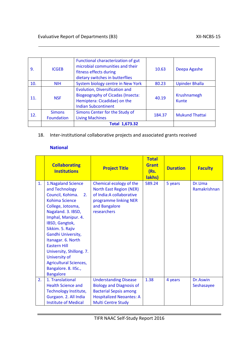| 9.  | <b>ICGEB</b>                | Functional characterization of gut<br>microbial communities and their<br>fitness effects during<br>dietary switches in butterflies       | 10.63  | Deepa Agashe          |
|-----|-----------------------------|------------------------------------------------------------------------------------------------------------------------------------------|--------|-----------------------|
| 10. | <b>NIH</b>                  | System biology centre in New York                                                                                                        | 80.23  | <b>Upinder Bhalla</b> |
| 11. | <b>NSF</b>                  | Evolution, Diversification and<br><b>Biogeography of Cicadas (Insecta:</b><br>Hemiptera: Cicadidae) on the<br><b>Indian Subcontinent</b> | 40.19  | Krushnamegh<br>Kunte  |
| 12. | <b>Simons</b><br>Foundation | Simons Center for the Study of<br><b>Living Machines</b>                                                                                 | 184.37 | <b>Mukund Thattai</b> |
|     |                             | <b>Total 1,673.32</b>                                                                                                                    |        |                       |

18. Inter-institutional collaborative projects and associated grants received

#### **National**

|    | <b>Collaborating</b><br><b>Institutions</b>                                                                                                                                                                                                                                                                                                                                                   | <b>Project Title</b>                                                                                                                                             | <b>Total</b><br><b>Grant</b><br>(Rs.<br>lakhs) | <b>Duration</b> | <b>Faculty</b>         |
|----|-----------------------------------------------------------------------------------------------------------------------------------------------------------------------------------------------------------------------------------------------------------------------------------------------------------------------------------------------------------------------------------------------|------------------------------------------------------------------------------------------------------------------------------------------------------------------|------------------------------------------------|-----------------|------------------------|
| 1. | 1. Nagaland Science<br>and Technology<br>Council, Kohima.<br>2.<br><b>Kohima Science</b><br>College, Jotosma,<br>Nagaland. 3. IBSD,<br>Imphal, Manipur. 4.<br>IBSD, Gangtok,<br>Sikkim. 5. Rajiv<br>Gandhi University,<br>Itanagar. 6. North<br><b>Eastern Hill</b><br>University, Shillong. 7.<br>University of<br><b>Agricultural Sciences,</b><br>Bangalore. 8. IISc.,<br><b>Bangalore</b> | Chemical ecology of the<br><b>North East Region (NER)</b><br>of India: A collaborative<br>programme linking NER<br>and Bangalore<br>researchers                  | 589.24                                         | 5 years         | Dr.Uma<br>Ramakrishnan |
| 2. | 1. Translational<br><b>Health Science and</b><br>Technology Institute,<br>Gurgaon. 2. All India<br><b>Institute of Medical</b>                                                                                                                                                                                                                                                                | <b>Understanding Disease</b><br><b>Biology and Diagnosis of</b><br><b>Bacterial Sepsis among</b><br><b>Hospitalized Neoantes: A</b><br><b>Multi Centre Study</b> | 1.38                                           | 4 years         | Dr.Aswin<br>Seshasayee |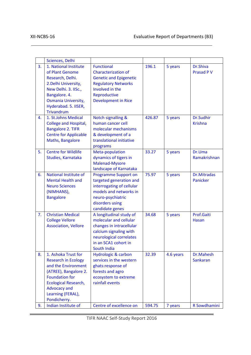|    | Sciences, Delhi                                                                                                                                                                                                       |                                                                                                                                                                                 |        |           |                                |
|----|-----------------------------------------------------------------------------------------------------------------------------------------------------------------------------------------------------------------------|---------------------------------------------------------------------------------------------------------------------------------------------------------------------------------|--------|-----------|--------------------------------|
| 3. | 1. National Institute<br>of Plant Genome<br>Research, Delhi.<br>2. Delhi University,<br>New Delhi. 3. IISc.,<br>Bangalore. 4.<br>Osmania University,<br>Hyderabad. 5. IISER,<br><b>Trivandrum</b>                     | <b>Functional</b><br><b>Characterization of</b><br><b>Genetic and Epigenetic</b><br><b>Regulatory Networks</b><br>Involved in the<br>Reproductive<br><b>Development in Rice</b> | 196.1  | 5 years   | Dr.Shiva<br><b>Prasad P V</b>  |
| 4. | 1. St.Johns Medical<br>College and Hospital,<br><b>Bangalore 2. TIFR</b><br><b>Centre for Applicable</b><br>Maths, Bangalore                                                                                          | Notch signalling &<br>human cancer cell<br>molecular mechanisms<br>& development of a<br>translational initiative<br>programs                                                   | 426.87 | 5 years   | Dr.Sudhir<br><b>Krishna</b>    |
| 5. | <b>Centre for Wildlife</b><br>Studies, Karnataka                                                                                                                                                                      | Meta-population<br>dynamics of tigers in<br>Malenad-Mysore<br>landscape of Karnataka                                                                                            | 33.27  | 5 years   | Dr.Uma<br>Ramakrishnan         |
| 6. | National Institute of<br><b>Mental Health and</b><br><b>Neuro Sciences</b><br>(NIMHANS),<br><b>Bangalore</b>                                                                                                          | <b>Programme Support on</b><br>targeted generation and<br>interrogating of cellular<br>models and networks in<br>neuro-psychiatric<br>disorders using<br>candidate genes        | 75.97  | 5 years   | <b>Dr.Mitradas</b><br>Panicker |
| 7. | <b>Christian Medical</b><br><b>College Vellore</b><br><b>Association, Vellore</b>                                                                                                                                     | A longitudinal study of<br>molecular and cellular<br>changes in intracellular<br>calcium signaling with<br>neurological correlates<br>in an SCA1 cohort in<br>South India       | 34.68  | 5 years   | Prof.Gaiti<br>Hasan            |
| 8. | 1. Ashoka Trust for<br><b>Research in Ecology</b><br>and the Environment<br>(ATREE), Bangalore 2.<br><b>Foundation for</b><br><b>Ecological Research,</b><br><b>Advocacy and</b><br>Learning (FERAL),<br>Pondicherry. | <b>Hydrologic &amp; carbon</b><br>services in the western<br>ghats:response of<br>forests and agro<br>ecosystem to extreme<br>rainfall events                                   | 32.39  | 4.6 years | Dr.Mahesh<br><b>Sankaran</b>   |
| 9. | Indian Institute of                                                                                                                                                                                                   | Centre of excellence on                                                                                                                                                         | 594.75 | 7 years   | R Sowdhamini                   |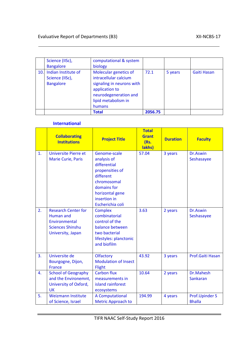|     | Science (IISc),<br><b>Bangalore</b>                        | computational & system<br>biology                                                                                                                       |         |         |             |
|-----|------------------------------------------------------------|---------------------------------------------------------------------------------------------------------------------------------------------------------|---------|---------|-------------|
| 10. | Indian Institute of<br>Science (IISc),<br><b>Bangalore</b> | Molecular genetics of<br>intracellular calcium<br>signaling in neurons with<br>application to<br>neurodegeneration and<br>lipid metabolism in<br>humans | 72.1    | 5 years | Gaiti Hasan |
|     |                                                            | <b>Total</b>                                                                                                                                            | 2056.75 |         |             |

#### **International**

|                | <b>Collaborating</b><br><b>Institutions</b>                                                                     | <b>Project Title</b>                                                                                                                                             | <b>Total</b><br><b>Grant</b><br>(Rs.<br>lakhs) | <b>Duration</b> | <b>Faculty</b>                         |
|----------------|-----------------------------------------------------------------------------------------------------------------|------------------------------------------------------------------------------------------------------------------------------------------------------------------|------------------------------------------------|-----------------|----------------------------------------|
| $\mathbf{1}$ . | <b>Universite Pierre et</b><br><b>Marie Curie, Paris</b>                                                        | Genome-scale<br>analysis of<br>differential<br>propensities of<br>different<br>chromosomal<br>domains for<br>horizontal gene<br>insertion in<br>Escherichia coli | 57.04                                          | 3 years         | Dr.Aswin<br>Seshasayee                 |
| 2.             | <b>Research Center for</b><br><b>Human and</b><br>Environmental<br><b>Sciences Shinshu</b><br>University, Japan | <b>Complex</b><br>combinatorial<br>control of the<br>balance between<br>two bacterial<br>lifestyles: planctonic<br>and biofilm                                   | 3.63                                           | 2 years         | Dr.Aswin<br>Seshasayee                 |
| 3.             | Universite de<br>Bourgogne, Dijon,<br><b>France</b>                                                             | Olfactory<br><b>Modulation of Insect</b><br>Flight                                                                                                               | 43.92                                          | 3 years         | Prof.Gaiti Hasan                       |
| $\mathbf{4}$   | <b>School of Geography</b><br>and the Environemnt,<br>University of Oxford,<br><b>UK</b>                        | <b>Carbon flux</b><br>measurements in<br>island rainforest<br>ecosystems                                                                                         | 10.64                                          | 2 years         | Dr.Mahesh<br><b>Sankaran</b>           |
| 5.             | <b>Weizmann Institute</b><br>of Science, Israel                                                                 | <b>A Computational</b><br><b>Metric Approach to</b>                                                                                                              | 194.99                                         | 4 years         | <b>Prof.Upinder S</b><br><b>Bhalla</b> |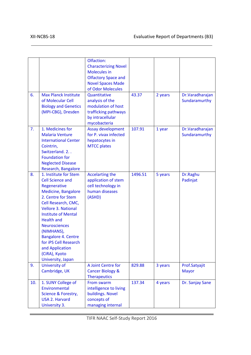| 6.  | <b>Max Planck Institute</b><br>of Molecular Cell<br><b>Biology and Genetics</b><br>(MPI-CBG), Dresden                                                                                                                                                                                                                                                                              | Olfaction:<br><b>Characterizing Novel</b><br><b>Molecules in</b><br><b>Olfactory Space and</b><br><b>Novel Spaces Made</b><br>of Odor Molecules<br>Quantitative<br>analysis of the<br>modulation of host<br>trafficking pathways<br>by intracellular<br>mycobacteria | 43.37   | 2 years | Dr. Varadharajan<br>Sundaramurthy |
|-----|------------------------------------------------------------------------------------------------------------------------------------------------------------------------------------------------------------------------------------------------------------------------------------------------------------------------------------------------------------------------------------|----------------------------------------------------------------------------------------------------------------------------------------------------------------------------------------------------------------------------------------------------------------------|---------|---------|-----------------------------------|
| 7.  | 1. Medicines for<br><b>Malaria Venture</b><br><b>International Center</b><br>Cointrin,<br>Switzerland. 2<br><b>Foundation for</b><br><b>Neglected Disease</b><br>Research, Bangalore                                                                                                                                                                                               | Assay development<br>for P. vivax infected<br>hepatocytes in<br><b>MTCC plates</b>                                                                                                                                                                                   | 107.91  | 1 year  | Dr.Varadharajan<br>Sundaramurthy  |
| 8.  | 1. Institute for Stem<br><b>Cell Science and</b><br>Regenerative<br><b>Medicine, Bangalore</b><br>2. Centre for Stem<br>Cell Research, CMC,<br><b>Vellore 3. National</b><br><b>Institute of Mental</b><br><b>Health and</b><br><b>Neurosciences</b><br>(NIMHANS),<br><b>Bangalore 4. Centre</b><br>for iPS Cell Research<br>and Application<br>(CiRA), Kyoto<br>University, Japan | <b>Accelarting the</b><br>application of stem<br>cell technology in<br>human diseases<br>(ASHD)                                                                                                                                                                      | 1496.51 | 5 years | Dr.Raghu<br>Padinjat              |
| 9.  | University of<br>Cambridge, UK                                                                                                                                                                                                                                                                                                                                                     | A Joint Centre for<br><b>Cancer Biology &amp;</b>                                                                                                                                                                                                                    | 829.88  | 3 years | Prof.Satyajit<br><b>Mayor</b>     |
|     |                                                                                                                                                                                                                                                                                                                                                                                    | <b>Therapeutics</b>                                                                                                                                                                                                                                                  |         |         |                                   |
| 10. | 1. SUNY College of<br>Environmental<br>Science & Forestry,<br><b>USA 2. Harvard</b><br>University 3.                                                                                                                                                                                                                                                                               | From swarm<br>intelligence to living<br>buildings. Novel<br>concepts of<br>managing internal                                                                                                                                                                         | 137.34  | 4 years | Dr. Sanjay Sane                   |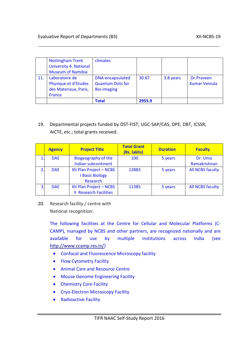|     | <b>Nottingham Trent</b><br><b>University 4. National</b><br><b>Museum of Namibia</b> | climates                                                                 |        |           |                                   |
|-----|--------------------------------------------------------------------------------------|--------------------------------------------------------------------------|--------|-----------|-----------------------------------|
| 11. | Laboratoire de<br>Physique et d'Etudes<br>des Materiaux, Paris,<br><b>France</b>     | <b>DNA-encapsulated</b><br><b>Quantum Dots for</b><br><b>Bio-imaging</b> | 30.67  | 3.8 years | Dr.Prayeen<br><b>Kumar Vemula</b> |
|     |                                                                                      | Total                                                                    | 2955.9 |           |                                   |

#### 19. Departmental projects funded by DST-FIST; UGC-SAP/CAS, DPE; DBT, ICSSR, AICTE, etc.; total grants received.

|    | <b>Agency</b> | <b>Project Title</b>          | <b>Total Grant</b><br>(Rs. lakhs) | <b>Duration</b> | <b>Faculty</b>          |
|----|---------------|-------------------------------|-----------------------------------|-----------------|-------------------------|
|    | <b>DAE</b>    | <b>Biogeography of the</b>    | 100                               | 5 years         | Dr. Uma                 |
|    |               | Indian subcontinent           |                                   |                 | Ramakrishnan            |
| 2. | <b>DAE</b>    | XII Plan Project - NCBS       | 12883                             | 5 years         | <b>All NCBS faculty</b> |
|    |               | <b>I Basic Biology</b>        |                                   |                 |                         |
|    |               | Research                      |                                   |                 |                         |
| 3. | <b>DAE</b>    | XII Plan Project - NCBS       | 11385                             | 5 years         | <b>All NCBS faculty</b> |
|    |               | <b>Il Research Facilities</b> |                                   |                 |                         |

20. Research facility / centre with National recognition:

> The following facilities at the Centre for Cellular and Molecular Platforms (C-CAMP), managed by NCBS and other partners, are recognized nationally and are available for use by multiple institutions across India (see [http://www.ccamp.res.in/\)](http://www.ccamp.res.in/)

- Confocal and Fluorescence Microscopy facility
- Flow Cytometry Facility
- Animal Care and Resource Centre
- Mouse Genome Engineering Facility
- Chemistry Core Facility
- Cryo-Electron Microscopy Facility
- Radioactive Facility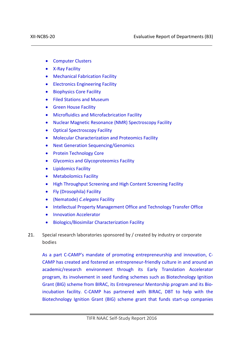- Computer Clusters
- X-Ray Facility
- Mechanical Fabrication Facility
- Electronics Engineering Facility
- Biophysics Core Facility
- Filed Stations and Museum
- Green House Facility
- Microfluidics and Microfacbrication Facility
- Nuclear Magnetic Resonance (NMR) Spectroscopy Facility
- Optical Spectroscopy Facility
- Molecular Characterization and Proteomics Facility
- Next Generation Sequencing/Genomics
- Protein Technology Core
- Glycomics and Glycoproteomics Facility
- Lipidomics Facility
- Metabolomics Facility
- High Throughput Screening and High Content Screening Facility
- Fly (Drosophila) Facility
- (Nematode) *C.elegans* Facility
- Intellectual Property Management Office and Technology Transfer Office
- Innovation Accelerator
- Biologics/Biosimilar Characterization Facility
- 21. Special research laboratories sponsored by / created by industry or corporate bodies

As a part C-CAMP's mandate of promoting entrepreneurship and innovation, C-CAMP has created and fostered an entrepreneur-friendly culture in and around an academic/research environment through its Early Translation Accelerator program, its involvement in seed funding schemes such as Biotechnology Ignition Grant (BIG) scheme from BIRAC, its Entrepreneur Mentorship program and its Bioincubation facility. C-CAMP has partnered with BIRAC, DBT to help with the Biotechnology Ignition Grant (BIG) scheme grant that funds start-up companies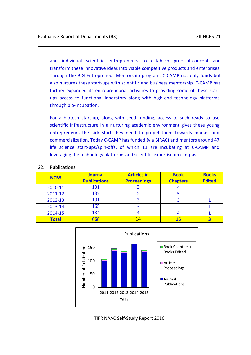and individual scientific entrepreneurs to establish proof-of-concept and transform these innovative ideas into viable competitive products and enterprises. Through the BIG Entrepreneur Mentorship program, C-CAMP not only funds but also nurtures these start-ups with scientific and business mentorship. C-CAMP has further expanded its entrepreneurial activities to providing some of these startups access to functional laboratory along with high-end technology platforms, through bio-incubation.

For a biotech start-up, along with seed funding, access to such ready to use scientific infrastructure in a nurturing academic environment gives these young entrepreneurs the kick start they need to propel them towards market and commercialization. Today C-CAMP has funded (via BIRAC) and mentors around 47 life science start-ups/spin-offs, of which 11 are incubating at C-CAMP and leveraging the technology platforms and scientific expertise on campus.

| <b>NCBS</b>  | <b>Journal</b><br><b>Publications</b> | <b>Articles in</b><br><b>Proceedings</b> | <b>Book</b><br><b>Chapters</b> | <b>Books</b><br><b>Edited</b> |
|--------------|---------------------------------------|------------------------------------------|--------------------------------|-------------------------------|
| 2010-11      | 101                                   |                                          |                                |                               |
| 2011-12      | 137                                   |                                          |                                |                               |
| 2012-13      | 131                                   |                                          |                                |                               |
| 2013-14      | 165                                   |                                          |                                |                               |
| 2014-15      | 134                                   |                                          |                                |                               |
| <b>Total</b> | 668                                   | 14                                       | 16                             |                               |



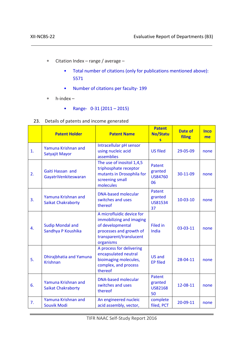- ∗ Citation Index range / average
	- Total number of citations (only for publications mentioned above): 5571
	- Number of citations per faculty- 199
- ∗ h-index
	- Range- 0-31 (2011 2015)
- 23. Details of patents and income generated

|    | <b>Patent Holder</b>                             | <b>Patent Name</b>                                                                                                                           | <b>Patent</b><br><b>No/Statu</b><br>$\overline{\mathbf{s}}$ | <b>Date of</b><br>filing | <b>Inco</b><br>me |
|----|--------------------------------------------------|----------------------------------------------------------------------------------------------------------------------------------------------|-------------------------------------------------------------|--------------------------|-------------------|
| 1. | Yamuna Krishnan and<br>Satyajit Mayor            | Intracellular pH sensor<br>using nucleic acid<br>assemblies                                                                                  | <b>US filed</b>                                             | 29-05-09                 | none              |
| 2. | Gaiti Hassan and<br>GayatriVenkiteswaran         | The use of inositol 1,4,5<br>triphosphate receptor<br>mutants in Drosophila for<br>screening small<br>molecules                              | Patent<br>granted<br><b>US84760</b><br>06                   | 30-11-09                 | none              |
| 3. | Yamuna Krishnan and<br><b>Saikat Chakraborty</b> | <b>DNA-based molecular</b><br>switches and uses<br>thereof                                                                                   | Patent<br>granted<br>US81534<br>37                          | $10-03-10$               | none              |
| 4. | <b>Sudip Mondal and</b><br>Sandhya P Koushika    | A microfluidic device for<br>immobilizing and imaging<br>of developmental<br>processes and growth of<br>transparent/translucent<br>organisms | <b>Filed in</b><br>India                                    | 03-03-11                 | none              |
| 5. | Dhirajbhatia and Yamuna<br><b>Krishnan</b>       | A process for delivering<br>encapsulated neutral<br>bioimaging molecules,<br>complex, and process<br>thereof                                 | <b>US and</b><br><b>EP filed</b>                            | 28-04-11                 | none              |
| 6. | Yamuna Krishnan and<br><b>Saikat Chakraborty</b> | <b>DNA-based molecular</b><br>switches and uses<br>thereof                                                                                   | Patent<br>granted<br><b>US82168</b><br>50                   | 12-08-11                 | none              |
| 7. | Yamuna Krishnan and<br>Souvik Modi               | An engineered nucleic<br>acid assembly, vector,                                                                                              | complete<br>filed, PCT                                      | 20-09-11                 | none              |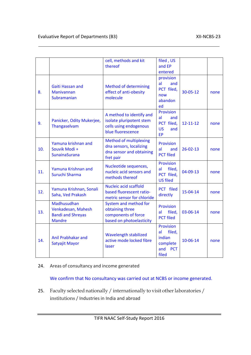|     |                                                                                | cell, methods and kit<br>thereof                                                                    | filed, US<br>and EP<br>entered                                                |                |      |
|-----|--------------------------------------------------------------------------------|-----------------------------------------------------------------------------------------------------|-------------------------------------------------------------------------------|----------------|------|
| 8.  | <b>Gaiti Hassan and</b><br>Manivannan<br>Subramanian                           | <b>Method of determining</b><br>effect of anti-obesity<br>molecule                                  | provision<br>al<br>and<br>PCT filed,<br>now<br>abandon<br>ed                  | $30 - 05 - 12$ | none |
| 9.  | Panicker, Odity Mukerjee,<br>Thangaselvam                                      | A method to identify and<br>isolate pluripotent stem<br>cells using endogenous<br>blue fluorescence | Provision<br>al<br>and<br>PCT filed,<br><b>US</b><br>and<br><b>EP</b>         | $12 - 11 - 12$ | none |
| 10. | Yamuna krishnan and<br>Souvik Modi +<br><b>SunainaSurana</b>                   | <b>Method of multiplexing</b><br>dna sensors, localizing<br>dna sensor and obtaining<br>fret pair   | Provision<br>al<br>and<br><b>PCT filed</b>                                    | $26 - 02 - 13$ | none |
| 11. | Yamuna Krishnan and<br>Suruchi Sharma                                          | Nucleotide sequences,<br>nucleic acid sensors and<br>methods thereof                                | <b>Provision</b><br>filed,<br>al<br>PCT filed,<br><b>US filed</b>             | 04-09-13       | none |
| 12. | Yamuna Krishnan, Sonali<br>Saha, Ved Prakash                                   | Nucleic acid scaffold<br>based fluorescent ratio-<br>metric sensor for chloride                     | PCT filed<br>directly                                                         | 15-04-14       | none |
| 13. | Madhusudhan<br>Venkadesan, Mahesh<br><b>Bandi and Shreyas</b><br><b>Mandre</b> | System and method for<br>obtaining three<br>components of force<br>based on photoelasticity         | <b>Provision</b><br>filed,<br>al<br><b>PCT filed</b>                          | 03-06-14       | none |
| 14. | Anil Prabhakar and<br>Satyajit Mayor                                           | Wavelength stabilized<br>active mode locked fibre<br>laser                                          | Provision<br>filed,<br>al<br>indian<br>complete<br>and<br><b>PCT</b><br>filed | 10-06-14       | none |

#### 24. Areas of consultancy and income generated

We confirm that No consultancy was carried out at NCBS or income generated.

25. Faculty selected nationally / internationally to visit other laboratories / institutions / Industries in India and abroad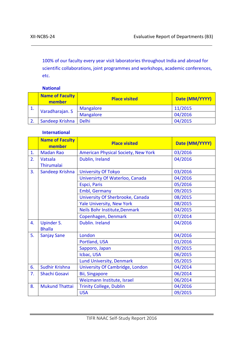100% of our faculty every year visit laboratories throughout India and abroad for scientific collaborations, joint programmes and workshops, academic conferences, etc.

#### **National**

|    | <b>Name of Faculty</b><br>member | <b>Place visited</b> | Date (MM/YYYY) |
|----|----------------------------------|----------------------|----------------|
| ᅩ. |                                  | <b>Mangalore</b>     | 11/2015        |
|    | Varadharajan. S                  | <b>Mangalore</b>     | 04/2016        |
|    | Sandeep Krishna                  | Delhi                | 04/2015        |

#### **International**

|    | <b>Name of Faculty</b><br>member   | <b>Place visited</b>                       | Date (MM/YYYY) |
|----|------------------------------------|--------------------------------------------|----------------|
| 1. | <b>Madan Rao</b>                   | <b>American Physical Society, New York</b> | 03/2016        |
| 2. | Vatsala<br>Thirumalai              | Dublin, Ireland                            | 04/2016        |
| 3. | Sandeep Krishna                    | <b>University Of Tokyo</b>                 | 03/2016        |
|    |                                    | Universirty Of Waterloo, Canada            | 04/2016        |
|    |                                    | Espci, Paris                               | 05/2016        |
|    |                                    | Embl, Germany                              | 09/2015        |
|    |                                    | University Of Sherbrooke, Canada           | 08/2015        |
|    |                                    | <b>Yale University, New York</b>           | 08/2015        |
|    |                                    | Neils Bohr Institute, Denmark              | 04/2015        |
|    |                                    | Copenhagen, Denmark                        | 07/2014        |
| 4. | <b>Upinder S.</b><br><b>Bhalla</b> | Dublin. Ireland                            | 04/2016        |
| 5. | <b>Sanjay Sane</b>                 | London                                     | 04/2016        |
|    |                                    | Portland, USA                              | 01/2016        |
|    |                                    | Sapporo, Japan                             | 09/2015        |
|    |                                    | Icbac, USA                                 | 06/2015        |
|    |                                    | Lund University, Denmark                   | 05/2015        |
| 6. | <b>Sudhir Krishna</b>              | <b>University Of Cambridge, London</b>     | 04/2014        |
| 7. | Shachi Gosavi                      | <b>Bii, Singapore</b>                      | 06/2014        |
|    |                                    | Weizmann Institute, Israel                 | 06/2014        |
| 8. | <b>Mukund Thattai</b>              | <b>Trinity College, Dublin</b>             | 04/2016        |
|    |                                    | <b>USA</b>                                 | 09/2015        |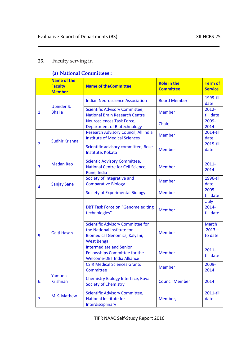### 26. Faculty serving in

### **(a) National Committees :**

|              | <b>Name of the</b><br><b>Faculty</b><br><b>Member</b> | <b>Name of theCommittee</b>                                                                                             | <b>Role in the</b><br><b>Committee</b> | <b>Term of</b><br><b>Service</b> |
|--------------|-------------------------------------------------------|-------------------------------------------------------------------------------------------------------------------------|----------------------------------------|----------------------------------|
|              |                                                       | <b>Indian Neuroscience Association</b>                                                                                  | <b>Board Member</b>                    | 1999-till<br>date                |
| $\mathbf{1}$ | <b>Upinder S.</b><br><b>Bhalla</b>                    | Scientific Advisory Committee,<br><b>National Brain Research Centre</b>                                                 | <b>Member</b>                          | $2012 -$<br>till date            |
|              |                                                       | <b>Neurosciences Task Force,</b><br><b>Department of Biotechnology</b>                                                  | Chair,                                 | 2009-<br>2014                    |
|              | <b>Sudhir Krishna</b>                                 | Research Advisory Council, All India<br><b>Institute of Medical Sciences</b>                                            | <b>Member</b>                          | 2014-till<br>date                |
| 2.           |                                                       | Scientific advisory committee, Bose<br>Institute, Kokata                                                                | <b>Member</b>                          | 2015-till<br>date                |
| 3.           | <b>Madan Rao</b>                                      | Scientic Advisory Committee,<br>National Centre for Cell Science,<br>Pune, India                                        | <b>Member</b>                          | $2011 -$<br>2014                 |
| 4.           | <b>Sanjay Sane</b>                                    | Society of Integrative and<br><b>Comparative Biology</b>                                                                | <b>Member</b>                          | 1996-till<br>date                |
|              |                                                       | <b>Society of Experimental Biology</b>                                                                                  | <b>Member</b>                          | $2005 -$<br>till date            |
|              | <b>Gaiti Hasan</b>                                    | <b>DBT Task Force on "Genome editing</b><br>technologies"                                                               | <b>Member</b>                          | ,July<br>$2014 -$<br>till date   |
| 5.           |                                                       | <b>Scientific Advisory Committee for</b><br>the National Institute for<br>Biomedical Genomics, Kalyani,<br>West Bengal. | <b>Member</b>                          | March<br>$2013 -$<br>to date     |
|              |                                                       | <b>Intermediate and Senior</b><br>Fellowships Committee for the<br><b>Welcome-DBT India Alliance</b>                    | <b>Member</b>                          | $2011 -$<br>till date            |
|              |                                                       | <b>CSIR Medical Sciences Grants</b><br>Committee                                                                        | <b>Member</b>                          | 2009-<br>2014                    |
| 6.           | Yamuna<br><b>Krishnan</b>                             | <b>Chemistry Biology Interface, Royal</b><br><b>Society of Chemistry</b>                                                | <b>Council Member</b>                  | 2014                             |
| 7.           | M.K. Mathew                                           | <b>Scientific Advisory Committee,</b><br><b>National Institute for</b><br>Interdisciplinary                             | Member,                                | 2011-till<br>date                |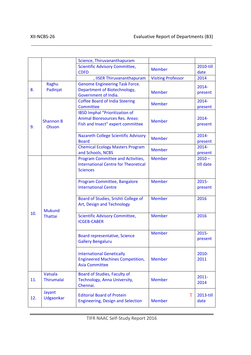|     |                                   | Science, Thiruvananthapuram                                                                                          |                           |                       |
|-----|-----------------------------------|----------------------------------------------------------------------------------------------------------------------|---------------------------|-----------------------|
|     |                                   | <b>Scientific Advisory Committee,</b><br><b>CDFD</b>                                                                 | <b>Member</b>             | 2010-till<br>date     |
|     |                                   | , IISER Thiruvananthapuram                                                                                           | <b>Visiting Professor</b> | 2014                  |
| 8.  | Raghu<br>Padinjat                 | <b>Genome Engineering Task Force.</b><br>Department of Biotechnology,<br>Government of India.                        | <b>Member</b>             | 2014-<br>present      |
|     |                                   | <b>Coffee Board of India Steering</b><br>Committee                                                                   | <b>Member</b>             | $2014 -$<br>present   |
| 9.  | <b>Shannon B</b><br><b>Olsson</b> | <b>IBSD Imphal "Prioritization of</b><br><b>Animal Bioresources Res. Areas:</b><br>Fish and Insect" expert committee | <b>Member</b>             | 2014-<br>present      |
|     |                                   | <b>Nazareth College Scientific Advisory</b><br><b>Board</b>                                                          | <b>Member</b>             | $2014 -$<br>present   |
|     |                                   | <b>Chemical Ecology Masters Program</b><br>and Schools, NCBS                                                         | <b>Member</b>             | $2014 -$<br>present   |
|     |                                   | Program Committee and Activities,<br><b>International Centre for Theoretical</b><br><b>Sciences</b>                  | <b>Member</b>             | $2010 -$<br>till date |
|     |                                   | Program Committee, Bangalore<br><b>International Centre</b>                                                          | <b>Member</b>             | $2015 -$<br>present   |
|     | <b>Mukund</b>                     | Board of Studies, Srishti College of<br>Art, Design and Technology                                                   | <b>Member</b>             | 2016                  |
| 10. | <b>Thattai</b>                    | Scientific Advisory Committee,<br><b>ICGEB-CABER</b>                                                                 | <b>Member</b>             | 2016                  |
|     |                                   | Board representative, Science<br><b>Gallery Bengaluru</b>                                                            | <b>Member</b>             | 2015-<br>present      |
|     |                                   | <b>International Genetically</b><br><b>Engineered Machines Competition,</b><br><b>Asia Committee</b>                 | <b>Member</b>             | 2010-<br>2011         |
| 11. | Vatsala<br><b>Thirumalai</b>      | Board of Studies, Faculty of<br>Technology, Anna University,<br>Chennai.                                             | <b>Member</b>             | 2011-<br>2014         |
| 12. | Jayant<br>Udgaonkar               | <b>Editorial Board of Protein</b><br><b>Engineering, Design and Selection</b>                                        | T<br><b>Member</b>        | 2013-till<br>date     |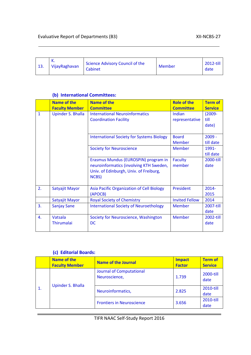| 13. | ĸ.<br>Vijay Raghavan | Science Advisory Council of the<br>Cabinet | Member | 2012-till<br>date |
|-----|----------------------|--------------------------------------------|--------|-------------------|
|-----|----------------------|--------------------------------------------|--------|-------------------|

#### **(b) International Committees:**

|              | <b>Name of the</b><br><b>Faculty Member</b> | <b>Name of the</b><br><b>Committee</b>                                                                                             | <b>Role of the</b><br><b>Committee</b> | <b>Term of</b><br><b>Service</b> |
|--------------|---------------------------------------------|------------------------------------------------------------------------------------------------------------------------------------|----------------------------------------|----------------------------------|
| $\mathbf{1}$ | <b>Upinder S. Bhalla</b>                    | <b>International Neuroinformatics</b><br><b>Coordination Facility</b>                                                              | Indian<br>representative               | $(2009 -$<br>till<br>date)       |
|              |                                             | <b>International Society for Systems Biology</b>                                                                                   | <b>Board</b><br><b>Member</b>          | $2009 -$<br>till date            |
|              |                                             | <b>Society for Neuroscience</b>                                                                                                    | <b>Member</b>                          | 1991-<br>till date               |
|              |                                             | Erasmus Mundus (EUROSPIN) program in<br>neuroinformatics (involving KTH Sweden,<br>Univ. of Edinburgh, Univ. of Freiburg,<br>NCBS) | Faculty<br>member                      | 2000-till<br>date                |
| 2.           | Satyajit Mayor                              | Asia Pacific Organization of Cell Biology<br>(APOCB)                                                                               | President                              | $2014 -$<br>2015                 |
|              | Satyajit Mayor                              | <b>Royal Society of Chemistry</b>                                                                                                  | <b>Invited Fellow</b>                  | 2014                             |
| 3.           | <b>Sanjay Sane</b>                          | <b>International Society of Neuroethology</b>                                                                                      | <b>Member</b>                          | 2007-till<br>date                |
| 4.           | <b>Vatsala</b><br><b>Thirumalai</b>         | Society for Neuroscience, Washington<br><b>DC</b>                                                                                  | <b>Member</b>                          | 2002-till<br>date                |

### **(c) Editorial Boards:**

|  | Name of the<br><b>Faculty Member</b> | <b>Name of the Journal</b>                       | <b>Impact</b><br><b>Factor</b> | <b>Term of</b><br><b>Service</b> |  |
|--|--------------------------------------|--------------------------------------------------|--------------------------------|----------------------------------|--|
|  |                                      | <b>Journal of Computational</b><br>Neuroscience, | 1.739                          | 2000-till<br>date                |  |
|  | <b>Upinder S. Bhalla</b>             | Neuroinformatics,                                | 2.825                          | 2010-till<br>date                |  |
|  |                                      | <b>Frontiers in Neuroscience</b>                 | 3.656                          | 2010-till<br>date                |  |

TIFR NAAC Self-Study Report 2016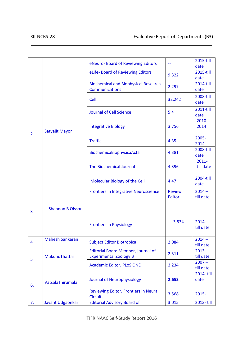|                |                         | eNeuro- Board of Reviewing Editors                                         | $\overline{\phantom{a}}$ | 2015-till<br>date     |
|----------------|-------------------------|----------------------------------------------------------------------------|--------------------------|-----------------------|
|                |                         | eLife- Board of Reviewing Editors                                          | 9.322                    | 2015-till<br>date     |
|                |                         | <b>Biochemical and Biophysical Research</b><br><b>Communications</b>       | 2.297                    | 2014-till<br>date     |
|                |                         | Cell                                                                       | 32.242                   | 2008-till<br>date     |
|                |                         | <b>Journal of Cell Science</b>                                             | 5.4                      | 2011-till<br>date     |
| $\overline{2}$ | Satyajit Mayor          | <b>Integrative Biology</b>                                                 | 3.756                    | 2010-<br>2014         |
|                |                         | <b>Traffic</b>                                                             | 4.35                     | 2005-<br>2014         |
|                |                         | BiochemicaBiophysicaActa                                                   | 4.381                    | 2008-till<br>date     |
|                |                         | <b>The Biochemical Journal</b>                                             | 4.396                    | $2011 -$<br>till date |
|                |                         | Molecular Biology of the Cell                                              | 4.47                     | 2004-till<br>date     |
|                |                         | <b>Frontiers in Integrative Neuroscience</b>                               | <b>Review</b><br>Editor  | $2014 -$<br>till date |
| 3              | <b>Shannon B Olsson</b> | <b>Frontiers in Physiology</b>                                             | 3.534                    | $2014 -$<br>till date |
| 4              | <b>Mahesh Sankaran</b>  | <b>Subject Editor Biotropica</b>                                           | 2.084                    | $2014 -$<br>till date |
| 5              | MukundThattai           | <b>Editorial Board Member, Journal of</b><br><b>Experimental Zoology B</b> | 2.311                    | $2013 -$<br>till date |
|                |                         | <b>Academic Editor, PLoS ONE</b>                                           | 3.234                    | $2007 -$<br>till date |
| 6.             | VatsalaThirumalai       | Journal of Neurophysiology                                                 | 2.653                    | 2014-till<br>date     |
|                |                         | Reviewing Editor, Frontiers in Neural<br><b>Circuits</b>                   | 3.568                    | 2015-                 |
| 7.             | Jayant Udgaonkar        | <b>Editorial Advisory Board of</b>                                         | 3.015                    | 2013-till             |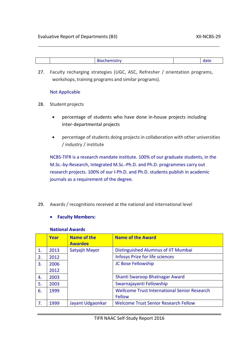27. Faculty recharging strategies (UGC, ASC, Refresher / orientation programs, workshops, training programs and similar programs).

#### Not Applicable

- 28. Student projects
	- percentage of students who have done in-house projects including inter-departmental projects
	- percentage of students doing projects in collaboration with other universities / industry / institute

NCBS-TIFR is a research mandate institute. 100% of our graduate students, in the M.Sc.-by-Research, Integrated M.Sc.-Ph.D. and Ph.D. programmes carry out research projects. 100% of our I-Ph.D. and Ph.D. students publish in academic journals as a requirement of the degree.

29. Awards / recognitions received at the national and international level

#### • **Faculty Members:**

#### **National Awards**

|    | Year | <b>Name of the</b><br><b>Awardee</b> | <b>Name of the Award</b>                            |
|----|------|--------------------------------------|-----------------------------------------------------|
| 1. | 2013 | Satyajit Mayor                       | Distinguished Alumnus of IIT Mumbai                 |
| 2. | 2012 |                                      | <b>Infosys Prize for life sciences</b>              |
| 3. | 2006 |                                      | JC Bose Fellowship                                  |
|    | 2012 |                                      |                                                     |
| 4. | 2003 |                                      | Shanti Swaroop Bhatnagar Award                      |
| 5. | 2003 |                                      | Swarnajayanti Fellowship                            |
| 6. | 1999 |                                      | <b>Wellcome Trust International Senior Research</b> |
|    |      |                                      | Fellow                                              |
| 7. | 1999 | Jayant Udgaonkar                     | <b>Welcome Trust Senior Research Fellow</b>         |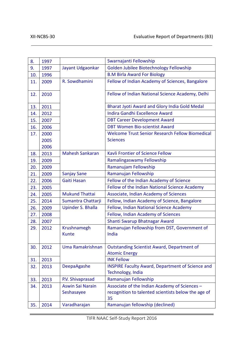| 8.  | 1997 |                          | Swarnajanti Fellowship                                  |
|-----|------|--------------------------|---------------------------------------------------------|
| 9.  | 1997 | Jayant Udgaonkar         | Golden Jubilee Biotechnology Fellowship                 |
| 10. | 1996 |                          | <b>B.M Birla Award For Biology</b>                      |
| 11. | 2009 | R. Sowdhamini            | Fellow of Indian Academy of Sciences, Bangalore         |
|     |      |                          |                                                         |
| 12. | 2010 |                          | Fellow of Indian National Science Academy, Delhi        |
|     |      |                          |                                                         |
| 13. | 2011 |                          | <b>Bharat Jyoti Award and Glory India Gold Medal</b>    |
| 14. | 2012 |                          | <b>Indira Gandhi Excellence Award</b>                   |
| 15. | 2007 |                          | <b>DBT Career Development Award</b>                     |
| 16. | 2006 |                          | <b>DBT Women Bio-scientist Award</b>                    |
| 17. | 2000 |                          | <b>Welcome Trust Senior Research Fellow Biomedical</b>  |
|     | 2005 |                          | <b>Sciences</b>                                         |
|     | 2006 |                          |                                                         |
| 18. | 2013 | <b>Mahesh Sankaran</b>   | <b>Kavli Frontier of Science Fellow</b>                 |
| 19. | 2009 |                          | Ramalingaswamy Fellowship                               |
| 20. | 2009 |                          | Ramanujam Fellowship                                    |
| 21. | 2009 | <b>Sanjay Sane</b>       | Ramanujan Fellowship                                    |
| 22. | 2006 | <b>Gaiti Hasan</b>       | Fellow of the Indian Academy of Science                 |
| 23. | 2005 |                          | Fellow of the Indian National Science Academy           |
| 24. | 2005 | <b>Mukund Thattai</b>    | Associate, Indian Academy of Sciences                   |
| 25. | 2014 | Sumantra Chattarji       | Fellow, Indian Academy of Science, Bangalore            |
| 26. | 2009 | <b>Upinder S. Bhalla</b> | Fellow, Indian National Science Academy                 |
| 27. | 2008 |                          | Fellow, Indian Academy of Sciences                      |
| 28. | 2007 |                          | Shanti Swarup Bhatnagar Award                           |
| 29. | 2012 | Krushnamegh              | Ramanujan Fellowship from DST, Government of            |
|     |      | <b>Kunte</b>             | India                                                   |
|     |      |                          |                                                         |
| 30. | 2012 | Uma Ramakrishnan         | <b>Outstanding Scientist Award, Department of</b>       |
|     |      |                          | <b>Atomic Energy</b>                                    |
| 31. | 2013 |                          | <b>INK Fellow</b>                                       |
| 32. | 2013 | <b>DeepaAgashe</b>       | <b>INSPIRE Faculty Award, Department of Science and</b> |
|     |      |                          | Technology, India                                       |
| 33. | 2013 | P.V. Shivaprasad         | Ramanujan Fellowship                                    |
| 34. | 2013 | <b>Aswin Sai Narain</b>  | Associate of the Indian Academy of Sciences -           |
|     |      | Seshasayee               | recognition to talented scientists below the age of     |
|     |      |                          | 35                                                      |
| 35. | 2014 | Varadharajan             | Ramanujan fellowship (declined)                         |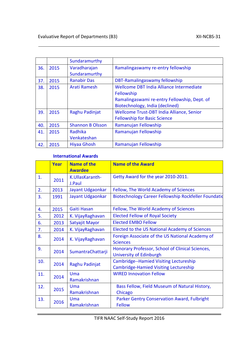|     |      | Sundaramurthy           |                                              |
|-----|------|-------------------------|----------------------------------------------|
| 36. | 2015 | Varadharajan            | Ramalingaswamy re-entry fellowship           |
|     |      | Sundaramurthy           |                                              |
| 37. | 2015 | <b>Ranabir Das</b>      | DBT-Ramalingaswamy fellowship                |
| 38. | 2015 | Arati Ramesh            | Wellcome DBT India Alliance Intermediate     |
|     |      |                         | Fellowship                                   |
|     |      |                         | Ramalingaswami re-entry Fellowship, Dept. of |
|     |      |                         | Biotechnology, India (declined)              |
| 39. | 2015 | Raghu Padinjat          | Wellcome Trust-DBT India Alliance, Senior    |
|     |      |                         | <b>Fellowship for Basic Science</b>          |
| 40. | 2015 | <b>Shannon B Olsson</b> | Ramanujan Fellowship                         |
| 41. | 2015 | Radhika                 | Ramanujan Fellowship                         |
|     |      | Venkateshan             |                                              |
| 42. | 2015 | <b>Hiyaa Ghosh</b>      | Ramanujan Fellowship                         |

#### **International Awards**

|     | Year | <b>Name of the</b><br><b>Awardee</b> | <b>Name of the Award</b>                                                                      |
|-----|------|--------------------------------------|-----------------------------------------------------------------------------------------------|
| 1.  | 2011 | K.UllasKaranth-<br>J.Paul            | Getty Award for the year 2010-2011.                                                           |
| 2.  | 2013 | Jayant Udgaonkar                     | Fellow, The World Academy of Sciences                                                         |
| 3.  | 1991 | Jayant Udgaonkar                     | Biotechnology Career Fellowship Rockfeller Foundatio                                          |
| 4.  | 2015 | Gaiti Hasan                          | Fellow, The World Academy of Sciences                                                         |
| 5.  | 2012 | K. VijayRaghavan                     | <b>Elected Fellow of Royal Society</b>                                                        |
| 6.  | 2013 | Satyajit Mayor                       | <b>Elected EMBO Fellow</b>                                                                    |
| 7.  | 2014 | K. VijayRaghavan                     | Elected to the US National Academy of Sciences                                                |
| 8.  | 2014 | K. VijayRaghavan                     | Foreign Associate of the US National Academy of<br><b>Sciences</b>                            |
| 9.  | 2014 | SumantraChattarji                    | Honorary Professor, School of Clinical Sciences,<br>University of Edinburgh                   |
| 10. | 2014 | Raghu Padinjat                       | <b>Cambridge--Hamied Visiting Lectureship</b><br><b>Cambridge-Hamied Visiting Lectureship</b> |
| 11. | 2014 | Uma<br>Ramakrishnan                  | <b>WIRED Innovation Fellow</b>                                                                |
| 12. | 2015 | Uma                                  | Bass Fellow, Field Museum of Natural History,                                                 |
|     |      | Ramakrishnan                         | Chicago                                                                                       |
| 13. | 2016 | Uma                                  | <b>Parker Gentry Conservation Award, Fulbright</b>                                            |
|     |      | Ramakrishnan                         | <b>Fellow</b>                                                                                 |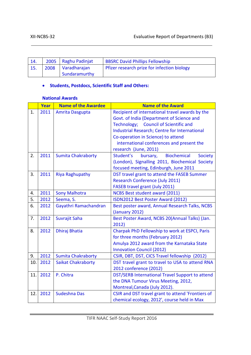|      | 2005   Raghu Padinjat | <b>BBSRC David Phillips Fellowship</b>      |
|------|-----------------------|---------------------------------------------|
| 2008 | Varadharajan          | Pfizer research prize for infection biology |
|      | Sundaramurthy         |                                             |

#### • **Students, Postdocs, Scientific Staff and Others:**

#### **National Awards**

|     | Year | <b>Name of the Awardee</b> | <b>Name of the Award</b>                                      |
|-----|------|----------------------------|---------------------------------------------------------------|
| 1.  | 2011 | Amrita Dasgupta            | Recipient of international travel awards by the               |
|     |      |                            | Govt. of India (Department of Science and                     |
|     |      |                            | <b>Council of Scientific and</b><br>Technology;               |
|     |      |                            | Industrial Research; Centre for International                 |
|     |      |                            | Co-operation in Science) to attend                            |
|     |      |                            | international conferences and present the                     |
|     |      |                            | research (June, 2011)                                         |
| 2.  | 2011 | <b>Sumita Chakraborty</b>  | Student's<br><b>Biochemical</b><br><b>Society</b><br>bursary, |
|     |      |                            | (London), Signalling 2011, Biochemical Society                |
|     |      |                            | focused meeting, Edinburgh, June 2011                         |
| 3.  | 2011 | <b>Riya Raghupathy</b>     | DST travel grant to attend the FASEB Summer                   |
|     |      |                            | Research Conference (July 2011)                               |
|     |      |                            | FASEB travel grant (July 2011)                                |
| 4.  | 2011 | <b>Sony Malhotra</b>       | <b>NCBS Best student award (2011)</b>                         |
| 5.  | 2012 | Seema, S.                  | ISDN2012 Best Poster Award (2012)                             |
| 6.  | 2012 | Gayathri Ramachandran      | Best poster award, Annual Research Talks, NCBS                |
|     |      |                            | (January 2012)                                                |
| 7.  | 2012 | Suvrajit Saha              | Best Poster Award, NCBS 20(Annual Talks) (Jan.                |
|     |      |                            | 2012)                                                         |
| 8.  | 2012 | Dhiraj Bhatia              | Charpak PhD Fellowship to work at ESPCI, Paris                |
|     |      |                            | for three months (February 2012)                              |
|     |      |                            | Amulya 2012 award from the Karnataka State                    |
|     |      |                            | <b>Innovation Council (2012)</b>                              |
| 9.  | 2012 | <b>Sumita Chakraborty</b>  | CSIR, DBT, DST, CICS Travel fellowship (2012)                 |
| 10. | 2012 | <b>Saikat Chakraborty</b>  | DST travel grant to travel to USA to attend RNA               |
|     |      |                            | 2012 conference (2012)                                        |
| 11. | 2012 | P. Chitra                  | DST/SERB International Travel Support to attend               |
|     |      |                            | the DNA Tumour Virus Meeting, 2012,                           |
|     |      |                            | Montreal, Canada (July 2012).                                 |
| 12. | 2012 | <b>Sudeshna Das</b>        | CSIR and DST travel grant to attend 'Frontiers of             |
|     |      |                            | chemical ecology, 2012', course held in Max                   |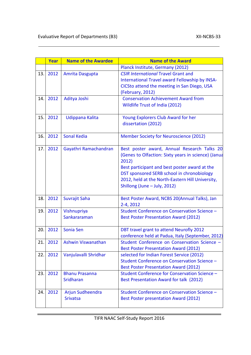|     | Year | <b>Name of the Awardee</b>          | <b>Name of the Award</b>                                                                                                                                                                                                                                                                       |
|-----|------|-------------------------------------|------------------------------------------------------------------------------------------------------------------------------------------------------------------------------------------------------------------------------------------------------------------------------------------------|
|     |      |                                     | Planck Institute, Germany (2012)                                                                                                                                                                                                                                                               |
| 13. | 2012 | Amrita Dasgupta                     | <b>CSIR International Travel Grant and</b><br>International Travel award Fellowship by INSA-<br>CICSto attend the meeting in San Diego, USA<br>(February, 2012)                                                                                                                                |
| 14. | 2012 | Aditya Joshi                        | <b>Conservation Achievement Award from</b><br>Wildlife Trust of India (2012)                                                                                                                                                                                                                   |
| 15. | 2012 | Udippana Kalita                     | Young Explorers Club Award for her<br>dissertation (2012)                                                                                                                                                                                                                                      |
| 16. | 2012 | <b>Sonal Kedia</b>                  | Member Society for Neuroscience (2012)                                                                                                                                                                                                                                                         |
| 17. | 2012 | Gayathri Ramachandran               | Best poster award, Annual Research Talks 20<br>(Genes to Olfaction: Sixty years in science) (Janua<br>2012)<br>Best participant and best poster award at the<br>DST sponsored SERB school in chronobiology<br>2012, held at the North-Eastern Hill University,<br>Shillong (June - July, 2012) |
| 18. | 2012 | Suvrajit Saha                       | Best Poster Award, NCBS 20(Annual Talks), Jan<br>2-4, 2012                                                                                                                                                                                                                                     |
| 19. | 2012 | Vishnupriya<br>Sankararaman         | Student Conference on Conservation Science -<br><b>Best Poster Presentation Award (2012)</b>                                                                                                                                                                                                   |
| 20. | 2012 | Sonia Sen                           | DBT travel grant to attend Neurofly 2012<br>conference held at Padua, Italy (September, 2012)                                                                                                                                                                                                  |
| 21. | 2012 | Ashwin Viswanathan                  | Student Conference on Conservation Science -<br><b>Best Poster Presentation Award (2012)</b>                                                                                                                                                                                                   |
| 22. | 2012 | Vanjulavalli Shridhar               | selected for Indian Forest Service (2012)<br>Student Conference on Conservation Science -<br><b>Best Poster Presentation Award (2012)</b>                                                                                                                                                      |
| 23. | 2012 | <b>Bhanu Prasanna</b><br>Sridharan  | Student Conference for Conservation Science -<br>Best Presentation Award for talk (2012)                                                                                                                                                                                                       |
| 24. | 2012 | Arjun Sudheendra<br><b>Srivatsa</b> | Student Conference on Conservation Science -<br>Best Poster presentation Award (2012)                                                                                                                                                                                                          |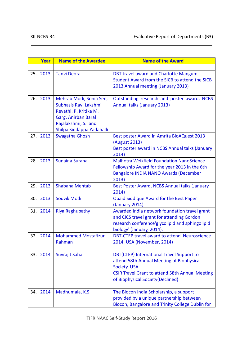|     | Year | <b>Name of the Awardee</b>                                                                                                                            | <b>Name of the Award</b>                                                                                                                                                                              |
|-----|------|-------------------------------------------------------------------------------------------------------------------------------------------------------|-------------------------------------------------------------------------------------------------------------------------------------------------------------------------------------------------------|
|     |      |                                                                                                                                                       |                                                                                                                                                                                                       |
| 25. | 2013 | <b>Tanvi Deora</b>                                                                                                                                    | DBT travel award and Charlotte Mangum<br>Student Award from the SICB to attend the SICB<br>2013 Annual meeting (January 2013)                                                                         |
| 26. | 2013 | Mehrab Modi, Sonia Sen,<br>Subhasis Ray, Lakshmi<br>Revathi, P, Kritika M.<br>Garg, Anirban Baral<br>Rajalakshmi, S. and<br>Shilpa Siddappa Yadahalli | Outstanding research and poster award, NCBS<br>Annual talks (January 2013)                                                                                                                            |
| 27. | 2013 | Swagatha Ghosh                                                                                                                                        | Best poster Award in Amrita BioAQuest 2013<br>(August 2013)<br>Best poster award in NCBS Annual talks (January<br>2014)                                                                               |
| 28. | 2013 | <b>Sunaina Surana</b>                                                                                                                                 | <b>Malhotra Weikfield Foundation NanoScience</b><br>Fellowship Award for the year 2013 in the 6th<br><b>Bangalore INDIA NANO Awards (December</b><br>2013)                                            |
| 29. | 2013 | <b>Shabana Mehtab</b>                                                                                                                                 | Best Poster Award, NCBS Annual talks (January<br>2014)                                                                                                                                                |
| 30. | 2013 | Souvik Modi                                                                                                                                           | <b>Obaid Siddique Award for the Best Paper</b><br>(January 2014)                                                                                                                                      |
| 31. | 2014 | <b>Riya Raghupathy</b>                                                                                                                                | Awarded India network foundation travel grant<br>and CICS travel grant for attending Gordon<br>research conference' glycolipid and sphingolipid<br>biology' (January, 2014).                          |
| 32. | 2014 | <b>Mohammed Mostafizur</b><br>Rahman                                                                                                                  | DBT-CTEP travel award to attend Neuroscience<br>2014, USA (November, 2014)                                                                                                                            |
| 33. | 2014 | Suvrajit Saha                                                                                                                                         | DBT(CTEP) International Travel Support to<br>attend 58th Annual Meeting of Biophysical<br>Society, USA<br><b>CSIR Travel Grant to attend 58th Annual Meeting</b><br>of Biophysical Society (Declined) |
| 34. | 2014 | Madhumala, K.S.                                                                                                                                       | The Biocon India Scholarship, a support<br>provided by a unique partnership between<br>Biocon, Bangalore and Trinity College Dublin for                                                               |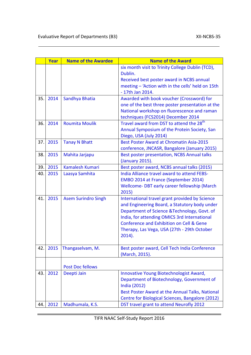|     | Year | <b>Name of the Awardee</b> | <b>Name of the Award</b>                             |
|-----|------|----------------------------|------------------------------------------------------|
|     |      |                            | six month visit to Trinity College Dublin (TCD),     |
|     |      |                            | Dublin.                                              |
|     |      |                            | Received best poster award in NCBS annual            |
|     |      |                            | meeting - 'Action with in the cells' held on 15th    |
|     |      |                            | - 17th Jan 2014.                                     |
| 35. | 2014 | Sandhya Bhatia             | Awarded with book voucher (Crossword) for            |
|     |      |                            | one of the best three poster presentation at the     |
|     |      |                            | National workshop on fluorescence and raman          |
|     |      |                            | techniques (FCS2014) December 2014                   |
| 36. | 2014 | <b>Roumita Moulik</b>      | Travel award from DST to attend the 28 <sup>th</sup> |
|     |      |                            | Annual Symposium of the Protein Society, San         |
|     |      |                            | Diego, USA (July 2014)                               |
| 37. | 2015 | <b>Tanay N Bhatt</b>       | <b>Best Poster Award at Chromatin Asia-2015</b>      |
|     |      |                            | conference, JNCASR, Bangalore (January 2015)         |
| 38. | 2015 | Mahita Jarjapu             | Best poster presentation, NCBS Annual talks          |
|     |      |                            | (January 2015).                                      |
| 39. | 2015 | <b>Kamalesh Kumari</b>     | Best poster award, NCBS annual talks (2015)          |
| 40. | 2015 | Laasya Samhita             | India Alliance travel award to attend FEBS-          |
|     |      |                            | EMBO 2014 at France (September 2014)                 |
|     |      |                            | Wellcome-DBT early career fellowship (March          |
|     |      |                            | 2015)                                                |
| 41. | 2015 | <b>Asem Surindro Singh</b> | International travel grant provided by Science       |
|     |      |                            | and Engineering Board, a Statutory body under        |
|     |      |                            | Department of Science & Technology, Govt. of         |
|     |      |                            | India, for attending OMICS 3rd International         |
|     |      |                            | <b>Conference and Exhibition on Cell &amp; Gene</b>  |
|     |      |                            | Therapy, Las Vega, USA (27th - 29th October          |
|     |      |                            | $2014$ ).                                            |
|     |      |                            |                                                      |
| 42. | 2015 | Thangaselvam, M.           | Best poster award, Cell Tech India Conference        |
|     |      |                            | (March, 2015).                                       |
|     |      |                            |                                                      |
|     |      | <b>Post Doc fellows</b>    |                                                      |
| 43. | 2012 | Deepti Jain                | Innovative Young Biotechnologist Award,              |
|     |      |                            | Department of Biotechnology, Government of           |
|     |      |                            | India (2012)                                         |
|     |      |                            | Best Poster Award at the Annual Talks, National      |
|     |      |                            | Centre for Biological Sciences, Bangalore (2012)     |
| 44. | 2012 | Madhumala, K.S.            | DST travel grant to attend Neurofly 2012             |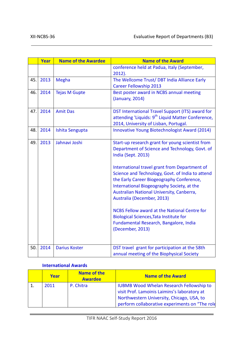|     | Year | <b>Name of the Awardee</b> | <b>Name of the Award</b>                                      |
|-----|------|----------------------------|---------------------------------------------------------------|
|     |      |                            | conference held at Padua, Italy (September,                   |
|     |      |                            | $2012$ ).                                                     |
| 45. | 2013 | Megha                      | The Wellcome Trust/ DBT India Alliance Early                  |
|     |      |                            | <b>Career Fellowship 2013</b>                                 |
| 46. | 2014 | <b>Tejas M Gupte</b>       | Best poster award in NCBS annual meeting                      |
|     |      |                            | (January, 2014)                                               |
|     |      |                            |                                                               |
| 47. | 2014 | <b>Amit Das</b>            | DST International Travel Support (ITS) award for              |
|     |      |                            | attending 'Liquids: 9 <sup>th</sup> Liquid Matter Conference, |
|     |      |                            | 2014, University of Lisban, Portugal.                         |
| 48. | 2014 | Ishita Sengupta            | Innovative Young Biotechnologist Award (2014)                 |
|     |      |                            |                                                               |
| 49. | 2013 | Jahnavi Joshi              | Start-up research grant for young scientist from              |
|     |      |                            | Department of Science and Technology, Govt. of                |
|     |      |                            | India (Sept. 2013)                                            |
|     |      |                            |                                                               |
|     |      |                            | International travel grant from Department of                 |
|     |      |                            | Science and Technology, Govt. of India to attend              |
|     |      |                            | the Early Career Biogeography Conference,                     |
|     |      |                            | International Biogeography Society, at the                    |
|     |      |                            | Australian National University, Canberra,                     |
|     |      |                            | Australia (December, 2013)                                    |
|     |      |                            |                                                               |
|     |      |                            | NCBS Fellow award at the National Centre for                  |
|     |      |                            | <b>Biological Sciences, Tata Institute for</b>                |
|     |      |                            | Fundamental Research, Bangalore, India                        |
|     |      |                            | (December, 2013)                                              |
|     |      |                            |                                                               |
|     |      |                            |                                                               |
| 50. | 2014 | <b>Darius Koster</b>       | DST travel grant for participation at the 58th                |
|     |      |                            | annual meeting of the Biophysical Society                     |

#### **International Awards**

| Year | <b>Name of the</b><br><b>Awardee</b> | <b>Name of the Award</b>                                                                                                                                                                       |
|------|--------------------------------------|------------------------------------------------------------------------------------------------------------------------------------------------------------------------------------------------|
| 2011 | P. Chitra                            | <b>IUBMB Wood Whelan Research Fellowship to</b><br>visit Prof. Lamoinis Laimins's laboratory at<br>Northwestern University, Chicago, USA, to<br>perform collaborative experiments on "The role |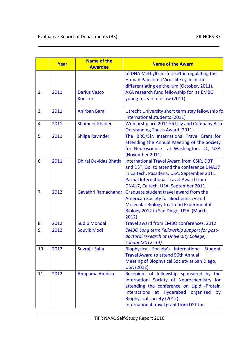|     | Year | <b>Name of the</b><br><b>Awardee</b>  | <b>Name of the Award</b>                                                                                                                                                                                                                                    |
|-----|------|---------------------------------------|-------------------------------------------------------------------------------------------------------------------------------------------------------------------------------------------------------------------------------------------------------------|
|     |      |                                       | of DNA Methyltransferase1 in regulating the<br>Human Papilloma Virus life cycle in the<br>differentiating epithelium (October, 2011).                                                                                                                       |
| 2.  | 2011 | <b>Darius Vasco</b><br><b>Koester</b> | AXA research fund fellowship for as EMBO<br>young research fellow (2011)                                                                                                                                                                                    |
| 3.  | 2011 | <b>Anirban Baral</b>                  | Utrecht University short term stay fellowship fo<br>international students (2011)                                                                                                                                                                           |
| 4.  | 2011 | <b>Shameer Khader</b>                 | Won first place 2011 Eli Lilly and Company Asia<br><b>Outstanding Thesis Award (2011)</b>                                                                                                                                                                   |
| 5.  | 2011 | <b>Shilpa Ravinder</b>                | The IBRO/SfN International Travel Grant for<br>attending the Annual Meeting of the Society<br>for Neuroscience at Washington, DC, USA<br>(November 2011).                                                                                                   |
| 6.  | 2011 | Dhiraj Devidas Bhatia                 | <b>International Travel Award from CSIR, DBT</b><br>and DST, GoI to attend the conference DNA17<br>in Caltech, Pasadena, USA, September 2011.<br><b>Partial International Travel Award from</b><br>DNA17, Caltech, USA, September 2011.                     |
| 7.  | 2012 | Gayathri Ramachandra                  | Graduate student travel award from the<br>American Society for Biochemistry and<br>Molecular Biology to attend Experimental<br>Biology 2012 in San Diego, USA (March,<br>2012)                                                                              |
| 8.  | 2012 | <b>Sudip Mondal</b>                   | Travel award from EMBO conferences, 2012                                                                                                                                                                                                                    |
| 9.  | 2012 | <b>Souvik Modi</b>                    | <b>EMBO Long term Fellowship support for post-</b><br>doctoral research at University College,<br>London(2012 -14)                                                                                                                                          |
| 10. | 2012 | Suvrajit Saha                         | Biophysical Society's International Student<br><b>Travel Award to attend 56th Annual</b><br>Meeting of Biophysical Society at San Diego,<br><b>USA (2012)</b>                                                                                               |
| 11. | 2012 | Anupama Ambika                        | Recepient of fellowship sponsored by the<br>Internationl Society of Neurochemistry for<br>attending the conference on Lipid -Protein<br>Interactions at Hyderabad organised<br>by<br>Biophysical society (2012).<br>International travel grant from DST for |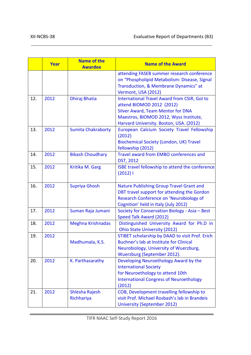|     | Year | <b>Name of the</b><br><b>Awardee</b> | <b>Name of the Award</b>                                                                                                                                                                                          |  |
|-----|------|--------------------------------------|-------------------------------------------------------------------------------------------------------------------------------------------------------------------------------------------------------------------|--|
|     |      |                                      | attending FASEB summer research conference<br>on "Phospholipid Metabolism: Disease, Signal<br>Transduction, & Membrane Dynamics" at<br>Vermont, USA (2012)                                                        |  |
| 12. | 2012 | Dhiraj Bhatia                        | <b>International Travel Award from CSIR, GoI to</b><br>attend BIOMOD 2012 (2012)<br><b>Silver Award, Team Mentor for DNA</b><br>Maestros, BIOMOD 2012, Wyss Institute,<br>Harvard University. Boston, USA. (2012) |  |
| 13. | 2012 | <b>Sumita Chakraborty</b>            | European Calcium Society Travel Fellowship<br>(2012)<br><b>Biochemical Society (London, UK) Travel</b><br>fellowship (2012)                                                                                       |  |
| 14. | 2012 | <b>Bikash Choudhary</b>              | Travel award from EMBO conferences and<br><b>DST, 2012</b>                                                                                                                                                        |  |
| 15. | 2012 | Kritika M. Garg                      | ISBE travel fellowship to attend the conference<br>$(2012)$ l                                                                                                                                                     |  |
| 16. | 2012 | <b>Supriya Ghosh</b>                 | <b>Nature Publishing Group Travel Grant and</b><br>DBT travel support for attending the Gordon<br>Research Conference on 'Neurobiology of<br>Cognition' held in Italy (July 2012)                                 |  |
| 17. | 2012 | Suman Raja Jumani                    | Society for Conservation Biology - Asia - Best<br>Speed Talk Award (2012)                                                                                                                                         |  |
| 18. | 2012 | <b>Meghna Krishnadas</b>             | Distinguished University Award for Ph.D in<br>Ohio State University (2012)                                                                                                                                        |  |
| 19. | 2012 | Madhumala, K.S.                      | STIBET scholarship by DAAD to visit Prof. Erich<br>Buchner's lab at Institute for Clinical<br>Neurobiology, University of Wuerzburg,<br>Wuerzburg (September 2012).                                               |  |
| 20. | 2012 | K. Parthasarathy                     | Developing Neuroethology Award by the<br><b>International Society</b><br>for Neuroethology to attend 10th<br><b>International Congress of Neuroethology</b><br>(2012)                                             |  |
| 21. | 2012 | Shlesha Rajesh<br>Richhariya         | COB, Development travelling fellowship to<br>visit Prof. Michael Rosbash's lab in Brandeis<br><b>University (September 2012)</b>                                                                                  |  |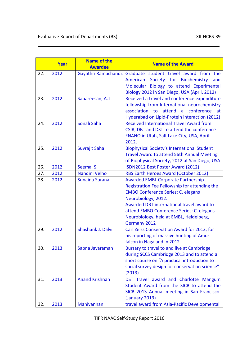|     | Year | <b>Name of the</b><br><b>Awardee</b> | <b>Name of the Award</b>                                                                                                                                                                                                                                                                                            |  |
|-----|------|--------------------------------------|---------------------------------------------------------------------------------------------------------------------------------------------------------------------------------------------------------------------------------------------------------------------------------------------------------------------|--|
| 22. | 2012 | Gayathri Ramachandri                 | Graduate student travel award from the<br>Society for Biochemistry<br>American<br>and<br>Molecular Biology to attend Experimental<br>Biology 2012 in San Diego, USA (April, 2012)                                                                                                                                   |  |
| 23. | 2012 | Sabareesan, A.T.                     | Received a travel and conference expenditure<br>fellowship from International neurochemistry<br>association to<br>attend<br>$\mathsf{a}$<br>conference<br>at<br>Hyderabad on Lipid-Protein interaction (2012)                                                                                                       |  |
| 24. | 2012 | Sonali Saha                          | <b>Received International Travel Award from</b><br>CSIR, DBT and DST to attend the conference<br>FNANO in Utah, Salt Lake City, USA, April<br>2012.                                                                                                                                                                 |  |
| 25. | 2012 | Suvrajit Saha                        | <b>Biophysical Society's International Student</b><br><b>Travel Award to attend 56th Annual Meeting</b><br>of Biophysical Society, 2012 at San Diego, USA                                                                                                                                                           |  |
| 26. | 2012 | Seema, S.                            | ISDN2012 Best Poster Award (2012)                                                                                                                                                                                                                                                                                   |  |
| 27. | 2012 | Nandini Velho                        | RBS Earth Heroes Award (October 2012)                                                                                                                                                                                                                                                                               |  |
| 28. | 2012 | <b>Sunaina Surana</b>                | <b>Awarded EMBL Corporate Partnership</b><br>Registration Fee Fellowship for attending the<br><b>EMBO Conference Series: C. elegans</b><br>Neurobiology, 2012.<br>Awarded DBT international travel award to<br>attend EMBO Conference Series: C. elegans<br>Neurobiology, held at EMBL, Heidelberg,<br>Germany 2012 |  |
| 29. | 2012 | Shashank J. Dalvi                    | Carl Zeiss Conservation Award for 2013, for<br>his reporting of massive hunting of Amur<br>falcon in Nagaland in 2012                                                                                                                                                                                               |  |
| 30. | 2013 | Sapna Jayaraman                      | Bursary to travel to and live at Cambridge<br>during SCCS Cambridge 2013 and to attend a<br>short course on "A practical introduction to<br>social survey design for conservation science"<br>(2013)                                                                                                                |  |
| 31. | 2013 | <b>Anand Krishnan</b>                | DST travel award and Charlotte Mangum<br>Student Award from the SICB to attend the<br>SICB 2013 Annual meeting in San Francisco.<br>(January 2013)                                                                                                                                                                  |  |
| 32. | 2013 | Manivannan                           | travel award from Asia-Pacific Developmental                                                                                                                                                                                                                                                                        |  |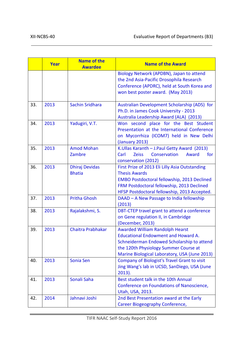|     | Year | <b>Name of the</b><br><b>Awardee</b>   | <b>Name of the Award</b>                                                                                                                                                                                                     |  |
|-----|------|----------------------------------------|------------------------------------------------------------------------------------------------------------------------------------------------------------------------------------------------------------------------------|--|
|     |      |                                        | Biology Network (APDBN), Japan to attend<br>the 2nd Asia-Pacific Drosophila Research<br>Conference (APDRC), held at South Korea and<br>won best poster award. (May 2013)                                                     |  |
| 33. | 2013 | <b>Sachin Sridhara</b>                 | Australian Development Scholarship (ADS) for<br>Ph.D. in James Cook University - 2013<br>Australia Leadership Award (ALA) (2013)                                                                                             |  |
| 34. | 2013 | Yadugiri, V.T.                         | Won second place for the Best Student<br>Presentation at the International Conference<br>on Mycorrhiza (ICOM7) held in New Delhi<br>(January 2013)                                                                           |  |
| 35. | 2013 | <b>Amod Mohan</b><br>Zambre            | K.Ullas Karanth - J.Paul Getty Award (2013)<br>Carl<br><b>Zeiss</b><br>Conservation<br>Award<br>for<br>conservation (2012)                                                                                                   |  |
| 36. | 2013 | <b>Dhiraj Devidas</b><br><b>Bhatia</b> | First Prize of 2013 Eli Lilly Asia Outstanding<br><b>Thesis Awards</b><br><b>EMBO Postdoctoral fellowship, 2013 Declined</b><br>FRM Postdoctoral fellowship, 2013 Declined<br>HFSP Postdoctoral fellowship, 2013 Accepted.   |  |
| 37. | 2013 | <b>Pritha Ghosh</b>                    | DAAD - A New Passage to India fellowship<br>(2013)                                                                                                                                                                           |  |
| 38. | 2013 | Rajalakshmi, S.                        | DBT-CTEP travel grant to attend a conference<br>on Gene regulation II, in Cambridge<br>(December, 2013)                                                                                                                      |  |
| 39. | 2013 | Chaitra Prabhakar                      | <b>Awarded William Randolph Hearst</b><br><b>Educational Endowment and Howard A.</b><br>Schneiderman Endowed Scholarship to attend<br>the 120th Physiology Summer Course at<br>Marine Biological Laboratory, USA (June 2013) |  |
| 40. | 2013 | Sonia Sen                              | Company of Biologist's Travel Grant to visit<br>Jing Wang's lab in UCSD, SanDiego, USA (June<br>$2013$ ).                                                                                                                    |  |
| 41. | 2013 | Sonali Saha                            | Best student talk in the 10th Annual<br>Conference on Foundations of Nanoscience,<br>Utah, USA, 2013.                                                                                                                        |  |
| 42. | 2014 | Jahnavi Joshi                          | 2nd Best Presentation award at the Early<br>Career Biogeography Conference,                                                                                                                                                  |  |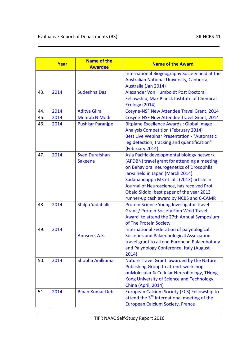|     | Year | <b>Name of the</b><br><b>Awardee</b> | <b>Name of the Award</b>                                                                                                                                                                                                                                                                                                                                          |  |
|-----|------|--------------------------------------|-------------------------------------------------------------------------------------------------------------------------------------------------------------------------------------------------------------------------------------------------------------------------------------------------------------------------------------------------------------------|--|
|     |      |                                      | International Biogeography Society held at the<br>Australian National University, Canberra,<br>Australia (Jan 2014)                                                                                                                                                                                                                                               |  |
| 43. | 2014 | Sudeshna Das                         | Alexander Von Humboldt Post Doctoral<br>Fellowship, Max Planck Institute of Chemical<br><b>Ecology (2014)</b>                                                                                                                                                                                                                                                     |  |
| 44. | 2014 | <b>Aditya Gilra</b>                  | Cosyne-NSF New Attendee Travel Grant, 2014                                                                                                                                                                                                                                                                                                                        |  |
| 45. | 2014 | <b>Mehrab N Modi</b>                 | Cosyne-NSF New Attendee Travel Grant, 2014                                                                                                                                                                                                                                                                                                                        |  |
| 46. | 2014 | <b>Pushkar Paranjpe</b>              | <b>Bitplane Excellence Awards: Global Image</b><br><b>Analysis Competition (February 2014)</b><br><b>Best Live Webinar Presentation - "Automatic</b><br>leg detection, tracking and quantification"<br>(February 2014)                                                                                                                                            |  |
| 47. | 2014 | <b>Syed Durafshan</b><br>Sakeena     | Asia Pacific developmental biology network<br>(APDBN) travel grant for attending a meeting<br>on Behavioral neurogenetics of Drosophila<br>larva held in Japan (March 2014)<br>Sadanandappa MK et. al., (2013) article in<br>Journal of Neuroscience, has received Prof.<br>Obaid Siddiqi best paper of the year 2013<br>runner-up cash award by NCBS and C-CAMP. |  |
| 48. | 2014 | Shilpa Yadahalli                     | Protein Science Young Investigator Travel<br>Grant / Protein Society Finn Wold Travel<br>Award to attend the 27th Annual Symposium<br>of The Protein Society                                                                                                                                                                                                      |  |
| 49. | 2014 | Anusree, A.S.                        | <b>International Federation of palynological</b><br>Societies and Palaeonological Association<br>travel grant to attend European Palaeobotany<br>and Palynology Conference, Italy (August<br>2014)                                                                                                                                                                |  |
| 50. | 2014 | Shobha Anilkumar                     | Nature Travel Grant awarded by the Nature<br>Publishing Group to attend workshop<br>onMolecular & Cellular Neurobiology, THong<br>Kong University of Science and Technology,<br>China (April, 2014)                                                                                                                                                               |  |
| 51. | 2014 | <b>Bipan Kumar Deb</b>               | European Calcium Society (ECS) Fellowship to<br>attend the 3 <sup>th</sup> International meeting of the<br><b>European Calcium Society, France</b>                                                                                                                                                                                                                |  |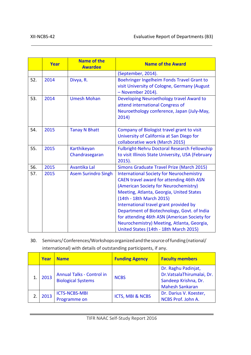|     | <b>Year</b> | <b>Name of the</b><br><b>Awardee</b> | <b>Name of the Award</b>                                                                                                                                                                                                                                                                                                                                                                                                                      |  |
|-----|-------------|--------------------------------------|-----------------------------------------------------------------------------------------------------------------------------------------------------------------------------------------------------------------------------------------------------------------------------------------------------------------------------------------------------------------------------------------------------------------------------------------------|--|
|     |             |                                      | (September, 2014).                                                                                                                                                                                                                                                                                                                                                                                                                            |  |
| 52. | 2014        | Divya, R.                            | Boehringer Ingelheim Fonds Travel Grant to<br>visit University of Cologne, Germany (August<br>- November 2014).                                                                                                                                                                                                                                                                                                                               |  |
| 53. | 2014        | <b>Umesh Mohan</b>                   | Developing Neuroethology travel Award to<br>attend international Congress of<br>Neuroethology conference, Japan (July-May,<br>2014)                                                                                                                                                                                                                                                                                                           |  |
| 54. | 2015        | <b>Tanay N Bhatt</b>                 | Company of Biologist travel grant to visit<br>University of California at San Diego for<br>collaborative work (March 2015)                                                                                                                                                                                                                                                                                                                    |  |
| 55. | 2015        | Karthikeyan<br>Chandrasegaran        | <b>Fulbright-Nehru Doctoral Research Fellowship</b><br>to visit Illinois State University, USA (February<br>$2015$ ).                                                                                                                                                                                                                                                                                                                         |  |
| 56. | 2015        | Avantika Lal                         | Simons Graduate Travel Prize (March 2015)                                                                                                                                                                                                                                                                                                                                                                                                     |  |
| 57. | 2015        | <b>Asem Surindro Singh</b>           | <b>International Society for Neurochemistry</b><br>CAEN travel award for attending 46th ASN<br>(American Society for Neurochemistry)<br>Meeting, Atlanta, Georgia, United States<br>(14th - 18th March 2015)<br>International travel grant provided by<br>Department of Biotechnology, Govt. of India<br>for attending 46th ASN (American Society for<br>Neurochemistry) Meeting, Atlanta, Georgia,<br>United States (14th - 18th March 2015) |  |

30. Seminars/Conferences/Workshops organized and the source of funding (national/ international) with details of outstanding participants, if any.

| Year | <b>Name</b>                                                   | <b>Funding Agency</b>       | <b>Faculty members</b>                                                                             |
|------|---------------------------------------------------------------|-----------------------------|----------------------------------------------------------------------------------------------------|
| 2013 | <b>Annual Talks - Control in</b><br><b>Biological Systems</b> | <b>NCBS</b>                 | Dr. Raghu Padinjat,<br>Dr.VatsalaThirumalai, Dr.<br>Sandeep Krishna, Dr.<br><b>Mahesh Sankaran</b> |
| 2013 | <b>ICTS-NCBS-MBI</b><br>Programme on                          | <b>ICTS, MBI &amp; NCBS</b> | Dr. Darius V. Koester,<br>NCBS Prof. John A.                                                       |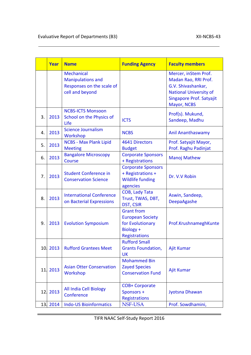|     | Year     | <b>Name</b>                                                                                   | <b>Funding Agency</b>                                                                          | <b>Faculty members</b>                                                                                                                         |
|-----|----------|-----------------------------------------------------------------------------------------------|------------------------------------------------------------------------------------------------|------------------------------------------------------------------------------------------------------------------------------------------------|
|     |          | <b>Mechanical</b><br><b>Manipulations and</b><br>Responses on the scale of<br>cell and beyond |                                                                                                | Mercer, inStem Prof.<br>Madan Rao, RRI Prof.<br>G.V. Shivashankar,<br><b>National University of</b><br>Singapore Prof. Satyajit<br>Mayor, NCBS |
| 3.  | 2013     | <b>NCBS-ICTS Monsoon</b><br>School on the Physics of<br>Life                                  | <b>ICTS</b>                                                                                    | Prof(s). Mukund,<br>Sandeep, Madhu                                                                                                             |
| 4.  | 2013     | <b>Science Journalism</b><br>Workshop                                                         | <b>NCBS</b>                                                                                    | <b>Anil Ananthaswamy</b>                                                                                                                       |
| 5.  | 2013     | <b>NCBS - Max Plank Lipid</b><br><b>Meeting</b>                                               | 4641 Directors<br><b>Budget</b>                                                                | Prof. Satyajit Mayor,<br>Prof. Raghu Padinjat                                                                                                  |
| 6.  | 2013     | <b>Bangalore Microscopy</b><br>Course                                                         | <b>Corporate Sponsors</b><br>+ Registrations                                                   | <b>Manoj Mathew</b>                                                                                                                            |
| 7.  | 2013     | <b>Student Conference in</b><br><b>Conservation Science</b>                                   | <b>Corporate Sponsors</b><br>+ Registrations +<br><b>Wildlife funding</b><br>agencies          | Dr. V.V Robin                                                                                                                                  |
| 8.  | 2013     | <b>International Conference</b><br>on Bacterial Expressions                                   | COB, Lady Tata<br>Trust, TWAS, DBT,<br><b>DST, CSIR</b>                                        | Aswin, Sandeep,<br>DeepaAgashe                                                                                                                 |
| 9.  | 2013     | <b>Evolution Symposium</b>                                                                    | <b>Grant from</b><br><b>European Society</b><br>for Evolutionary<br>Biology +<br>Registrations | Prof.KrushnameghKunte                                                                                                                          |
|     | 10. 2013 | <b>Rufford Grantees Meet</b>                                                                  | <b>Rufford Small</b><br><b>Grants Foundation,</b><br>UK                                        | Ajit Kumar                                                                                                                                     |
| 11. | 2013     | <b>Asian Otter Conservation</b><br>Workshop                                                   | <b>Mohammed Bin</b><br><b>Zayed Species</b><br><b>Conservation Fund</b>                        | Ajit Kumar                                                                                                                                     |
| 12. | 2013     | All India Cell Biology<br>Conference                                                          | <b>COB+ Corporate</b><br>Sponsors +<br><b>Registrations</b>                                    | Jyotsna Dhawan                                                                                                                                 |
| 13. | 2014     | <b>Indo-US Bioinformatics</b>                                                                 | NSF-USA                                                                                        | Prof. Sowdhamini,                                                                                                                              |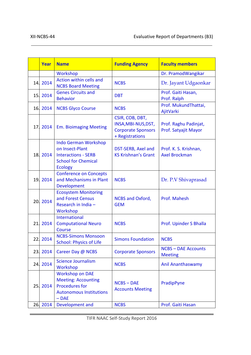|     | Year     | <b>Name</b>                                                                                                                  | <b>Funding Agency</b>                                                                  | <b>Faculty members</b>                        |
|-----|----------|------------------------------------------------------------------------------------------------------------------------------|----------------------------------------------------------------------------------------|-----------------------------------------------|
|     |          | Workshop                                                                                                                     |                                                                                        | Dr. PramodWangikar                            |
|     | 14. 2014 | Action within cells and<br><b>NCBS Board Meeting</b>                                                                         | <b>NCBS</b>                                                                            | Dr. Jayant Udgaonkar                          |
|     | 15. 2014 | <b>Genes Circuits and</b><br><b>Behavior</b>                                                                                 | <b>DBT</b>                                                                             | Prof. Gaiti Hasan,<br>Prof. Ralph             |
|     | 16. 2014 | <b>NCBS Glyco Course</b>                                                                                                     | <b>NCBS</b>                                                                            | Prof. MukundThattai,<br>AjitVarki             |
| 17. | 2014     | <b>Em. Bioimaging Meeting</b>                                                                                                | CSIR, COB, DBT,<br>INSA, MBI-NUS, DST,<br><b>Corporate Sponsors</b><br>+ Registrations | Prof. Raghu Padinjat,<br>Prof. Satyajit Mayor |
|     | 18.2014  | <b>Indo German Workshop</b><br>on Insect-Plant<br><b>Interactions - SERB</b><br><b>School for Chemical</b><br><b>Ecology</b> | DST-SERB, Axel and<br><b>KS Krishnan's Grant</b>                                       | Prof. K. S. Krishnan,<br><b>Axel Brockman</b> |
|     | 19. 2014 | <b>Conference on Concepts</b><br>and Mechanisms in Plant<br>Development                                                      | <b>NCBS</b>                                                                            | Dr. P.V Shivaprasad                           |
|     | 20. 2014 | <b>Ecosystem Monitoring</b><br>and Forest Census<br>Research in India -<br>Workshop                                          | <b>NCBS and Oxford,</b><br><b>GEM</b>                                                  | Prof. Mahesh                                  |
| 21. | 2014     | International<br><b>Computational Neuro</b><br><b>Course</b>                                                                 | <b>NCBS</b>                                                                            | Prof. Upinder S Bhalla                        |
| 22. | 2014     | <b>NCBS-Simons Monsoon</b><br><b>School: Physics of Life</b>                                                                 | <b>Simons Foundation</b>                                                               | <b>NCBS</b>                                   |
| 23. | 2014     | Career Day @ NCBS                                                                                                            | <b>Corporate Sponsors</b>                                                              | <b>NCBS - DAE Accounts</b><br><b>Meeting</b>  |
| 24. | 2014     | <b>Science Journalism</b><br>Workshop                                                                                        | <b>NCBS</b>                                                                            | <b>Anil Ananthaswamy</b>                      |
| 25. | 2014     | <b>Workshop on DAE</b><br><b>Meeting: Accounting</b><br><b>Procedures for</b><br><b>Autonomous Institutions</b><br>$-$ DAE   | <b>NCBS-DAE</b><br><b>Accounts Meeting</b>                                             | PradipPyne                                    |
|     | 26. 2014 | Development and                                                                                                              | <b>NCBS</b>                                                                            | Prof. Gaiti Hasan                             |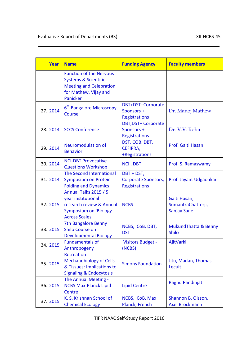|     | Year     | <b>Name</b>                                                                                                                              | <b>Funding Agency</b>                                     | <b>Faculty members</b>                              |
|-----|----------|------------------------------------------------------------------------------------------------------------------------------------------|-----------------------------------------------------------|-----------------------------------------------------|
|     |          | <b>Function of the Nervous</b><br><b>Systems &amp; Scientific</b><br><b>Meeting and Celebration</b><br>for Mathew, Vijay and<br>Panicker |                                                           |                                                     |
| 27. | 2014     | 6 <sup>th</sup> Bangalore Microscopy<br><b>Course</b>                                                                                    | DBT+DST+Corporate<br>Sponsors +<br>Registrations          | Dr. Manoj Mathew                                    |
|     | 28. 2014 | <b>SCCS Conference</b>                                                                                                                   | <b>DBT, DST+ Corporate</b><br>Sponsors +<br>Registrations | Dr. V.V. Robin                                      |
|     | 29. 2014 | <b>Neuromodulation of</b><br><b>Behavior</b>                                                                                             | DST, COB, DBT,<br>CEFIPRA,<br>+Registrations              | Prof. Gaiti Hasan                                   |
|     | 30.2014  | <b>NCI-DBT Provocative</b><br><b>Questions Workshop</b>                                                                                  | <b>NCI, DBT</b>                                           | Prof. S. Ramaswamy                                  |
| 31. | 2014     | The Second International<br><b>Symposium on Protein</b><br><b>Folding and Dynamics</b>                                                   | DBT + DST,<br>Corporate Sponsors,<br><b>Registrations</b> | Prof. Jayant Udgaonkar                              |
|     | 32.2015  | Annual Talks 2015 / 5<br>year institutional<br>research review & Annual<br><b>Symposium on 'Biology</b><br><b>Across Scales'</b>         | <b>NCBS</b>                                               | Gaiti Hasan,<br>SumantraChatterji,<br>Sanjay Sane - |
|     | 33. 2015 | <b>7th Bangalore Benny</b><br>Shilo Course on<br><b>Developmental Biology</b>                                                            | NCBS, CoB, DBT,<br><b>DST</b>                             | MukundThattai& Benny<br><b>Shilo</b>                |
|     | 34. 2015 | <b>Fundamentals of</b><br>Anthropogeny                                                                                                   | <b>Visitors Budget -</b><br>(NCBS)                        | AjitVarki                                           |
| 35. | 2015     | <b>Retreat on</b><br><b>Mechanobiology of Cells</b><br>& Tissues: Implications to<br><b>Signaling &amp; Endocytosis</b>                  | <b>Simons Foundation</b>                                  | Jitu, Madan, Thomas<br>Lecuit                       |
|     | 36. 2015 | The Annual Meeting -<br><b>NCBS Max-Planck Lipid</b><br>Centre                                                                           | <b>Lipid Centre</b>                                       | Raghu Pandinjat                                     |
| 37. | 2015     | K. S. Krishnan School of<br><b>Chemical Ecology</b>                                                                                      | NCBS, CoB, Max<br>Planck, French                          | Shannon B. Olsson,<br><b>Axel Brockmann</b>         |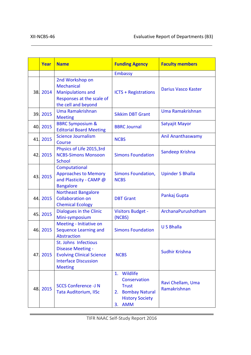|     | Year     | <b>Name</b>                                                                                                                           | <b>Funding Agency</b>                                                                                          | <b>Faculty members</b>            |
|-----|----------|---------------------------------------------------------------------------------------------------------------------------------------|----------------------------------------------------------------------------------------------------------------|-----------------------------------|
|     |          |                                                                                                                                       | Embassy                                                                                                        |                                   |
|     | 38.2014  | 2nd Workshop on<br><b>Mechanical</b><br><b>Manipulations and</b><br>Responses at the scale of<br>the cell and beyond                  | <b>ICTS + Registrations</b>                                                                                    | <b>Darius Vasco Kaster</b>        |
|     | 39. 2015 | Uma Ramakrishnan<br><b>Meeting</b>                                                                                                    | <b>Sikkim DBT Grant</b>                                                                                        | Uma Ramakrishnan                  |
|     | 40. 2015 | <b>BBRC Symposium &amp;</b><br><b>Editorial Board Meeting</b>                                                                         | <b>BBRC Journal</b>                                                                                            | Satyajit Mayor                    |
|     | 41. 2015 | <b>Science Journalism</b><br>Course                                                                                                   | <b>NCBS</b>                                                                                                    | <b>Anil Ananthaswamy</b>          |
|     | 42. 2015 | Physics of Life 2015,3rd<br><b>NCBS-Simons Monsoon</b><br><b>School</b>                                                               | <b>Simons Foundation</b>                                                                                       | Sandeep Krishna                   |
|     | 43. 2015 | Computational<br><b>Approaches to Memory</b><br>and Plasticity - CAMP @<br><b>Bangalore</b>                                           | Simons Foundation,<br><b>NCBS</b>                                                                              | <b>Upinder S Bhalla</b>           |
|     | 44.2015  | <b>Northeast Bangalore</b><br><b>Collaboration on</b><br><b>Chemical Ecology</b>                                                      | <b>DBT Grant</b>                                                                                               | Pankaj Gupta                      |
|     | 45. 2015 | Dialogues in the Clinic<br>Mini-symposium                                                                                             | Visitors Budget -<br>(NCBS)                                                                                    | ArchanaPurushotham                |
|     | 46. 2015 | Meeting - Initiative on<br>Sequence Learning and<br>Abstraction                                                                       | <b>Simons Foundation</b>                                                                                       | <b>US Bhalla</b>                  |
| 47. | 2015     | St. Johns Infectious<br><b>Disease Meeting -</b><br><b>Evolving Clinical Science</b><br><b>Interface Discussion</b><br><b>Meeting</b> | <b>NCBS</b>                                                                                                    | Sudhir Krishna                    |
|     | 48.2015  | <b>SCCS Conference -J N</b><br><b>Tata Auditorium, IISc</b>                                                                           | 1. Wildlife<br>Conservation<br><b>Trust</b><br>2. Bombay Natural<br><b>History Society</b><br><b>AMM</b><br>3. | Ravi Chellam, Uma<br>Ramakrishnan |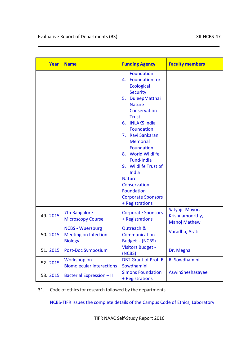|     | <b>Year</b> | <b>Name</b>                                                              | <b>Funding Agency</b>                                                                                                                                                                                                                                                                                                                                                                                                             | <b>Faculty members</b>                                    |
|-----|-------------|--------------------------------------------------------------------------|-----------------------------------------------------------------------------------------------------------------------------------------------------------------------------------------------------------------------------------------------------------------------------------------------------------------------------------------------------------------------------------------------------------------------------------|-----------------------------------------------------------|
|     |             |                                                                          | <b>Foundation</b><br>4. Foundation for<br><b>Ecological</b><br><b>Security</b><br>5. DuleepMatthai<br><b>Nature</b><br>Conservation<br><b>Trust</b><br>6. INLAKS India<br><b>Foundation</b><br>7. Ravi Sankaran<br><b>Memorial</b><br><b>Foundation</b><br>8. World Wildlife<br>Fund-India<br>9. Wildlife Trust of<br>India<br><b>Nature</b><br>Conservation<br><b>Foundation</b><br><b>Corporate Sponsors</b><br>+ Registrations |                                                           |
|     | 49.2015     | 7th Bangalore<br><b>Microscopy Course</b>                                | <b>Corporate Sponsors</b><br>+ Registrations                                                                                                                                                                                                                                                                                                                                                                                      | Satyajit Mayor,<br>Krishnamoorthy,<br><b>Manoj Mathew</b> |
|     | 50. 2015    | <b>NCBS - Wuerzburg</b><br><b>Meeting on Infection</b><br><b>Biology</b> | Outreach &<br>Communication<br>Budget - (NCBS)                                                                                                                                                                                                                                                                                                                                                                                    | Varadha, Arati                                            |
| 51. | 2015        | Post-Doc Symposium                                                       | <b>Visitors Budget -</b><br>(NCBS)                                                                                                                                                                                                                                                                                                                                                                                                | Dr. Megha                                                 |
| 52. | 2015        | Workshop on<br><b>Biomolecular Interactions</b>                          | <b>DBT Grant of Prof. R</b><br>Sowdhamini                                                                                                                                                                                                                                                                                                                                                                                         | R. Sowdhamini                                             |
| 53. | 2015        | <b>Bacterial Expression - II</b>                                         | <b>Simons Foundation</b><br>+ Registrations                                                                                                                                                                                                                                                                                                                                                                                       | AswinSheshasayee                                          |

#### 31. Code of ethics for research followed by the departments

#### NCBS-TIFR issues the complete details of the Campus Code of Ethics, Laboratory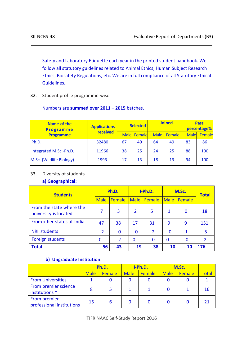Safety and Laboratory Etiquette each year in the printed student handbook. We follow all statutory guidelines related to Animal Ethics, Human Subject Research Ethics, Biosafety Regulations, etc. We are in full compliance of all Statutory Ethical Guidelines.

32. Student profile programme-wise:

#### Numbers are **summed over 2011 – 2015** batches.

| Name of the<br><b>Programme</b> | <b>Applications</b> | <b>Selected</b> |             |             | <b>Joined</b> | <b>Pass</b><br>percentage% |        |
|---------------------------------|---------------------|-----------------|-------------|-------------|---------------|----------------------------|--------|
| <b>Programme</b>                | received            |                 | Male Female | <b>Male</b> | Female        | <b>Male</b>                | Female |
| Ph.D.                           | 32480               | 67              | 49          | 64          | 49            | 83                         | 86     |
| Integrated M.Sc.-Ph.D.          | 11966               | 38              | 25          | 24          | 25            | 88                         | 100    |
| M.Sc. (Wildlife Biology)        | 1993                | 17              | 13          | 18          | 13            | 94                         | 100    |

#### 33. Diversity of students

#### **a) Geographical:**

| <b>Students</b>                                   | Ph.D.          |                | I-Ph.D.        |                | M.Sc.       |          | <b>Total</b>   |
|---------------------------------------------------|----------------|----------------|----------------|----------------|-------------|----------|----------------|
|                                                   | <b>Male</b>    | Female         | <b>Male</b>    | <b>IFemale</b> | <b>Male</b> | Female   |                |
| From the state where the<br>university is located | 7              | 3              | $\overline{2}$ | 5              | 1           | $\bf{0}$ | 18             |
| From other states of India                        | 47             | 38             | 17             | 31             | 9           | 9        | 151            |
| <b>NRI students</b>                               | $\overline{2}$ | $\bf{0}$       | $\Omega$       | $\overline{2}$ | $\Omega$    | 1        | 5              |
| Foreign students                                  | 0              | $\overline{2}$ | $\bf{0}$       | $\mathbf 0$    | $\bf{0}$    | 0        | $\overline{2}$ |
| <b>Total</b>                                      | 56             | 43             | 19             | 38             | 10          | 10       | 176            |

#### **b) Ungraduate Institution:**

|                                           | Ph.D.       |        | I-Ph.D.     |        | M.Sc.       |        |              |
|-------------------------------------------|-------------|--------|-------------|--------|-------------|--------|--------------|
|                                           | <b>Male</b> | Female | <b>Male</b> | Female | <b>Male</b> | Female | <b>Total</b> |
| <b>From Universities</b>                  |             |        |             |        |             |        |              |
| From premier science<br>institutions +    | 8           | 5      |             |        |             |        | 16           |
| From premier<br>professional institutions | 15          | 6      |             |        |             |        |              |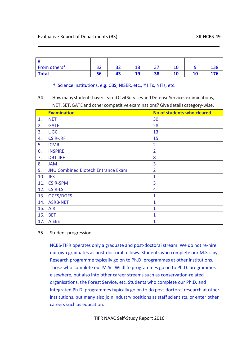| From others* | ີ<br>◡ | ົາ<br>-- | 1 O<br>⊥∟ | דר<br>، ب | τu | ⊥⊃໐ |
|--------------|--------|----------|-----------|-----------|----|-----|
| <b>Total</b> | 56     |          | 10<br>ᅩ   | 38        | 10 |     |

#### † Science institutions, e.g. CBS, NISER, etc., # IITs, NITs, etc.

#### 34. How many students have cleared Civil Services and Defense Services examinations, NET, SET,GATE and other competitive examinations?Give details category-wise.

|     | <b>Examination</b>                        | No of students who cleared |
|-----|-------------------------------------------|----------------------------|
| 1.  | <b>NET</b>                                | 30                         |
| 2.  | <b>GATE</b>                               | 28                         |
| 3.  | <b>UGC</b>                                | 13                         |
| 4.  | <b>CSIR-JRF</b>                           | 15                         |
| 5.  | <b>ICMR</b>                               | $\overline{2}$             |
| 6.  | <b>INSPIRE</b>                            | $\overline{2}$             |
| 7.  | <b>DBT-JRF</b>                            | 8                          |
| 8.  | <b>JAM</b>                                | 3                          |
| 9.  | <b>JNU Combined Biotech Entrance Exam</b> | $\overline{2}$             |
| 10. | <b>JEST</b>                               | 1                          |
| 11. | <b>CSIR-SPM</b>                           | 3                          |
| 12. | <b>CSIR-LS</b>                            | 4                          |
| 13. | <b>OCES/DGFS</b>                          | 1                          |
| 14. | <b>ASRB-NET</b>                           | 1                          |
| 15. | <b>AIR</b>                                | 1                          |
| 16. | <b>BET</b>                                | 1                          |
| 17. | <b>AIEEE</b>                              | $\overline{1}$             |

#### 35. Student progression

NCBS-TIFR operates only a graduate and post-doctoral stream. We do not re-hire our own graduates as post-doctoral fellows. Students who complete our M.Sc.-by-Research programme typically go on to Ph.D. programmes at other institutions. Those who complete our M.Sc. Wildlife programmes go on to Ph.D. programmes elsewhere, but also into other career streams such as conservation-related organisations, the Forest Service, etc. Students who complete our Ph.D. and Integrated Ph.D. programmes typically go on to do post-doctoral research at other institutions, but many also join industry positions as staff scientists, or enter other careers such as education.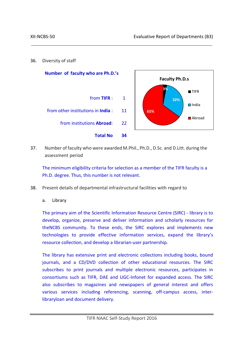36. Diversity of staff



37. Number of faculty who were awarded M.Phil., Ph.D., D.Sc. and D.Litt. during the assessment period

The minimum eligibility criteria for selection as a member of the TIFR faculty is a Ph.D. degree. Thus, this number is not relevant.

- 38. Present details of departmental infrastructural facilities with regard to
	- a. Library

The primary aim of the Scientific Information Resource Centre (SIRC) - library is to develop, organize, preserve and deliver information and scholarly resources for theNCBS community. To these ends, the SIRC explores and implements new technologies to provide effective information services, expand the library's resource collection, and develop a librarian-user partnership.

The library has extensive print and electronic collections including books, bound journals, and a CD/DVD collection of other educational resources. The SIRC subscribes to print journals and multiple electronic resources, participates in consortiums such as TIFR, DAE and UGC-Infonet for expanded access. The SIRC also subscribes to magazines and newspapers of general interest and offers various services including referencing, scanning, off-campus access, interlibraryloan and document delivery.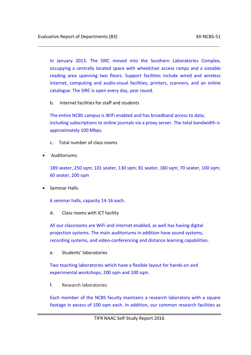In January 2013. The SIRC moved into the Southern Laboratories Complex, occupying a centrally located space with wheelchair access ramps and a sizeable reading area spanning two floors. Support facilities include wired and wireless internet, computing and audio-visual facilities, printers, scanners, and an online catalogue. The SIRC is open every day, year round.

b. Internet facilities for staff and students

The entire NCBS campus is WiFi enabled and has broadband access to data, including subscriptions to online journals via a proxy server. The total bandwidth is approximately 100 Mbps.

- c. Total number of class rooms
- Auditoriums:

189 seater, 250 sqm; 101 seater, 130 sqm; 81 seater, 180 sqm; 70 seater, 100 sqm; 60 seater, 200 sqm

• Seminar Halls:

6 seminar halls, capacity 14-16 each.

d. Class rooms with ICT facility

All our classrooms are WiFi and internet enabled, as well has having digital projection systems. The main auditoriums in addition have sound systems, recording systems, and video-conferencing and distance learning capabilities.

e. Students' laboratories

Two teaching laboratories which have a flexible layout for hands-on and experimental workshops; 200 sqm and 100 sqm.

f. Research laboratories

Each member of the NCBS faculty maintains a research laboratory with a square footage in excess of 100 sqm each. In addition, our common research facilities as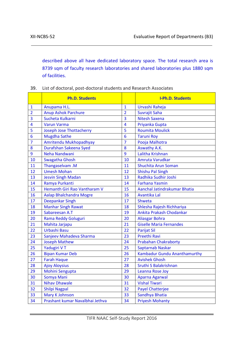described above all have dedicated laboratory space. The total research area is 8739 sqm of faculty research laboratories and shared laboratories plus 1880 sqm of facilities.

| 39. List of doctoral, post-doctoral students and Research Associates |  |
|----------------------------------------------------------------------|--|
|                                                                      |  |

|                         | <b>Ph.D. Students</b>           |                         | <b>I-Ph.D. Students</b>             |
|-------------------------|---------------------------------|-------------------------|-------------------------------------|
| $\mathbf{1}$            | Anupama H.L.                    | $\overline{1}$          | Urvashi Raheja                      |
| $\overline{2}$          | Anup Ashok Parchure             | $\overline{2}$          | Suvrajit Saha                       |
| $\overline{3}$          | Sucheta Kulkarni                | $\overline{3}$          | <b>Nitesh Saxena</b>                |
| $\overline{\mathbf{4}}$ | <b>Varun Varma</b>              | $\overline{\mathbf{4}}$ | Priyanka Gupta                      |
| 5                       | <b>Joseph Jose Thottacherry</b> | 5                       | <b>Roumita Moulick</b>              |
| 6                       | <b>Mugdha Sathe</b>             | 6                       | <b>Taruni Roy</b>                   |
| $\overline{7}$          | Amritendu Mukhopadhyay          | $\overline{7}$          | Pooja Malhotra                      |
| 8                       | Durafshan Sakeena Syed          | 8                       | Aswathy A.K.                        |
| 9                       | Neha Nandwani                   | 9                       | Lalitha Krishnan                    |
| 10                      | <b>Swagatha Ghosh</b>           | 10                      | Amruta Varudkar                     |
| 11                      | Thangaselvam.M                  | 11                      | <b>Shuchita Arun Soman</b>          |
| 12                      | <b>Umesh Mohan</b>              | 12                      | <b>Shishu Pal Singh</b>             |
| 13                      | <b>Jesvin Singh Madan</b>       | 13                      | Radhika Sudhir Joshi                |
| 14                      | Ramya Purkanti                  | 14                      | <b>Farhana Yasmin</b>               |
| 15                      | Hemanth Giri Rao Vantharam V    | 15                      | Aanchal Jatindrakumar Bhatia        |
| 16                      | <b>Aalap Bhalchandra Mogre</b>  | 16                      | Avantika Lal                        |
| 17                      | <b>Deepankar Singh</b>          | 17                      | Shweta                              |
| 18                      | <b>Manhar Singh Rawat</b>       | 18                      | Shlesha Rajesh Richhariya           |
| 19                      | Sabareesan A.T                  | 19                      | Ankita Prakash Chodankar            |
| 20                      | <b>Rama Reddy Goluguri</b>      | 20                      | <b>Aliasgar Bohra</b>               |
| 21                      | Mahita Jarjapu                  | 21                      | <b>Giselle Maria Fernandes</b>      |
| 22                      | Urbashi Basu                    | 22                      | <b>Parijat Sil</b>                  |
| 23                      | Sanjeev Mahadeva Sharma         | 23                      | Preethi Ravi                        |
| 24                      | <b>Joseph Mathew</b>            | 24                      | <b>Prabahan Chakraborty</b>         |
| 25                      | Yadugiri VT                     | 25                      | <b>Saptarnab Naskar</b>             |
| 26                      | <b>Bipan Kumar Deb</b>          | 26                      | <b>Kambadur Gundu Ananthamurthy</b> |
| 27                      | <b>Farah Haque</b>              | 27                      | <b>Avishek Ghosh</b>                |
| 28                      | <b>Ajoy Aloysius</b>            | 28                      | Sruthi S Balakrishnan               |
| 29                      | Mohini Sengupta                 | 29                      | Leanna Rose Joy                     |
| 30                      | Somya Mani                      | 30                      | Aparna Agarwal                      |
| 31                      | <b>Nihav Dhawale</b>            | 31                      | <b>Vishal Tiwari</b>                |
| 32                      | <b>Shilpi Nagpal</b>            | 32                      | <b>Payel Chatterjee</b>             |
| 33                      | Mary K Johnson                  | 33                      | Sandhya Bhatia                      |
| 34                      | Prashant kumar Navalbhai Jethva | 34                      | <b>Priyesh Mohanty</b>              |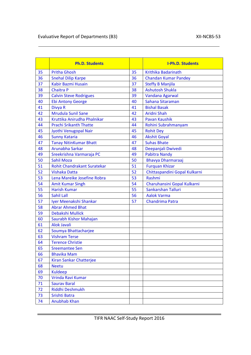|    | <b>Ph.D. Students</b>              |    | <b>I-Ph.D. Students</b>       |
|----|------------------------------------|----|-------------------------------|
| 35 | <b>Pritha Ghosh</b>                | 35 | <b>Krithika Badarinath</b>    |
| 36 | <b>Snehal Dilip Karpe</b>          | 36 | <b>Chandan Kumar Pandey</b>   |
| 37 | Kabir Bazmi Husain                 | 37 | <b>Steffy B Manjila</b>       |
| 38 | <b>Chaitra P</b>                   | 38 | <b>Ashutosh Shukla</b>        |
| 39 | <b>Calvin Steve Rodrigues</b>      | 39 | Vandana Agarwal               |
| 40 | <b>Ebi Antony George</b>           | 40 | Sahana Sitaraman              |
| 41 | Divya R                            | 41 | <b>Bishal Basak</b>           |
| 42 | <b>Mrudula Sunil Sane</b>          | 42 | Aridni Shah                   |
| 43 | Kruttika Anirudha Phalnikar        | 43 | <b>Pavan Kaushik</b>          |
| 44 | <b>Prachi Srikanth Thatte</b>      | 44 | Rohini Subrahmanyam           |
| 45 | Jyothi Venugopal Nair              | 45 | <b>Rohit Dey</b>              |
| 46 | <b>Sunny Kataria</b>               | 46 | <b>Akshit Goyal</b>           |
| 47 | <b>Tanay NitinKumar Bhatt</b>      | 47 | <b>Suhas Bhate</b>            |
| 48 | Arunabha Sarkar                    | 48 | Deepanjali Dwivedi            |
| 49 | Sreekrishna Varmaraja PC           | 49 | <b>Pabitra Nandy</b>          |
| 50 | <b>Sahil Moza</b>                  | 50 | <b>Bhavya Dharmaraaj</b>      |
| 51 | <b>Rohit Chandrakant Suratekar</b> | 51 | <b>Furquan Khizar</b>         |
| 52 | <b>Vishaka Datta</b>               | 52 | Chittaspandini Gopal Kulkarni |
| 53 | Lena Mareike Josefine Robra        | 53 | Rashmi                        |
| 54 | <b>Amit Kumar Singh</b>            | 54 | Charuhansini Gopal Kulkarni   |
| 55 | <b>Harish Kumar</b>                | 55 | Sankarshan Talluri            |
| 56 | <b>Sahil Lall</b>                  | 56 | <b>Aalok Varma</b>            |
| 57 | Iyer Meenakshi Shankar             | 57 | Chandrima Patra               |
| 58 | <b>Abrar Ahmed Bhat</b>            |    |                               |
| 59 | Debakshi Mullick                   |    |                               |
| 60 | Saurabh Kishor Mahajan             |    |                               |
| 61 | <b>Alok Javali</b>                 |    |                               |
| 62 | Soumya Bhattacharjee               |    |                               |
| 63 | <b>Vishram Terse</b>               |    |                               |
| 64 | <b>Terence Christie</b>            |    |                               |
| 65 | <b>Sreemantee Sen</b>              |    |                               |
| 66 | <b>Bhavika Mam</b>                 |    |                               |
| 67 | Kiran Sankar Chatterjee            |    |                               |
| 68 | <b>Neetu</b>                       |    |                               |
| 69 | <b>Kuldeep</b>                     |    |                               |
| 70 | Vrinda Ravi Kumar                  |    |                               |
| 71 | <b>Saurav Baral</b>                |    |                               |
| 72 | Riddhi Deshmukh                    |    |                               |
| 73 | Srishti Batra                      |    |                               |
| 74 | Anubhab Khan                       |    |                               |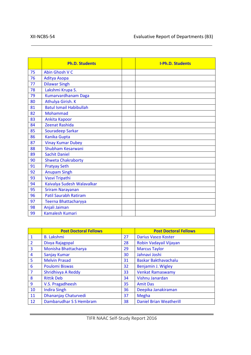|    | <b>Ph.D. Students</b>          | <b>I-Ph.D. Students</b> |
|----|--------------------------------|-------------------------|
| 75 | Abin Ghosh V C                 |                         |
| 76 | Aditya Asopa                   |                         |
| 77 | <b>Dilawar Singh</b>           |                         |
| 78 | Lakshmi Krupa S.               |                         |
| 79 | Kumarvardhanam Daga            |                         |
| 80 | Athulya Girish. K              |                         |
| 81 | <b>Batul Ismail Habibullah</b> |                         |
| 82 | <b>Mohammad</b>                |                         |
| 83 | Ankita Kapoor                  |                         |
| 84 | <b>Zeenat Rashida</b>          |                         |
| 85 | Souradeep Sarkar               |                         |
| 86 | <b>Kanika Gupta</b>            |                         |
| 87 | <b>Vinay Kumar Dubey</b>       |                         |
| 88 | Shubham Kesarwani              |                         |
| 89 | <b>Sachit Daniel</b>           |                         |
| 90 | <b>Shweta Chakraborty</b>      |                         |
| 91 | <b>Pratyay Seth</b>            |                         |
| 92 | <b>Anupam Singh</b>            |                         |
| 93 | Vasvi Tripathi                 |                         |
| 94 | Kaivalya Sudesh Walavalkar     |                         |
| 95 | <b>Sriram Narayanan</b>        |                         |
| 96 | <b>Patil Saurabh Ratiram</b>   |                         |
| 97 | Teerna Bhattacharyya           |                         |
| 98 | Anjali Jaiman                  |                         |
| 99 | <b>Kamalesh Kumari</b>         |                         |

|                | <b>Post Doctoral Fellows</b> |    | <b>Post Doctoral Fellows</b>   |
|----------------|------------------------------|----|--------------------------------|
| 1              | <b>B.</b> Lakshmi            | 27 | <b>Darius Vasco Koster</b>     |
| $\overline{2}$ | Divya Rajagopal              | 28 | Robin Vadayail Vijayan         |
| 3              | Monisha Bhattacharya         | 29 | <b>Marcus Taylor</b>           |
| $\overline{4}$ | Sanjay Kumar                 | 30 | Jahnavi Joshi                  |
| 5              | <b>Melvin Prasad</b>         | 31 | <b>Baskar Bakthavachalu</b>    |
| 6              | <b>Poulomi Biswas</b>        | 32 | Benjamin J. Wigley             |
| $\overline{7}$ | Shridhivya A Reddy           | 33 | <b>Venkat Ramaswamy</b>        |
| 8              | <b>Rittik Deb</b>            | 34 | Vishnu Janardan                |
| 9              | V.S. Pragadheesh             | 35 | <b>Amit Das</b>                |
| 10             | <b>Indira Singh</b>          | 36 | Deepika Janakiraman            |
| 11             | Dhananjay Chaturvedi         | 37 | Megha                          |
| 12             | Dambarudhar S S Hembram      | 38 | <b>Daniel Brian Weatherill</b> |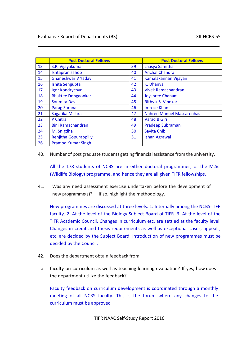|    | <b>Post Doctoral Fellows</b> |    | <b>Post Doctoral Fellows</b>     |
|----|------------------------------|----|----------------------------------|
| 13 | S.P. Vijayakumar             | 39 | Laasya Samitha                   |
| 14 | Ishtapran sahoo              | 40 | <b>Anchal Chandra</b>            |
| 15 | <b>Gnaneshwar V Yadav</b>    | 41 | Kamalakannan Vijayan             |
| 16 | Ishita Sengupta              | 42 | K. Dhanya                        |
| 17 | Igor Kondrychyn              | 43 | <b>Vivek Ramachandran</b>        |
| 18 | <b>Bhaktee Dongaonkar</b>    | 44 | <b>Joyshree Chanam</b>           |
| 19 | <b>Soumita Das</b>           | 45 | <b>Rithvik S. Vinekar</b>        |
| 20 | <b>Parag Surana</b>          | 46 | Imroze Khan                      |
| 21 | Sagarika Mishra              | 47 | <b>Nahren Manuel Mascarenhas</b> |
| 22 | P Chitra                     | 48 | <b>Varad B Giri</b>              |
| 23 | <b>Bini Ramachandran</b>     | 49 | Pradeep Subramani                |
| 24 | M. Snigdha                   | 50 | Savita Chib                      |
| 25 | <b>Renjitha Gopurappilly</b> | 51 | <b>Ishan Agrawal</b>             |
| 26 | <b>Pramod Kumar Singh</b>    |    |                                  |

40. Number of post graduate students getting financial assistance fromthe university.

All the 178 students of NCBS are in either doctoral programmes, or the M.Sc. (Wildlife Biology) programme, and hence they are all given TIFR fellowships.

41. Was any need assessment exercise undertaken before the development of new programme(s)? If so, highlight the methodology.

New programmes are discussed at three levels: 1. Internally among the NCBS-TIFR faculty. 2. At the level of the Biology Subject Board of TIFR. 3. At the level of the TIFR Academic Council. Changes in curriculum etc. are settled at the faculty level. Changes in credit and thesis requirements as well as exceptional cases, appeals, etc. are decided by the Subject Board. Introduction of new programmes must be decided by the Council.

- 42. Does the department obtain feedback from
- a. faculty on curriculum as well as teaching-learning-evaluation? If yes, how does the department utilize the feedback?

Faculty feedback on curriculum development is coordinated through a monthly meeting of all NCBS faculty. This is the forum where any changes to the curriculum must be approved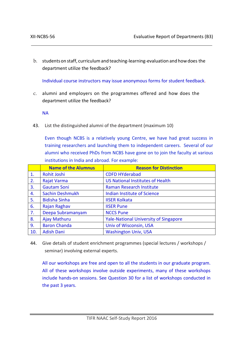b. studentson staff, curriculumand teaching-learning-evaluation and howdoes the department utilize the feedback?

Individual course instructors may issue anonymous forms for student feedback.

c. alumni and employers on the programmes offered and how does the department utilize the feedback?

NA

43. List the distinguished alumni of the department (maximum 10)

Even though NCBS is a relatively young Centre, we have had great success in training researchers and launching them to independent careers. Several of our alumni who received PhDs from NCBS have gone on to join the faculty at various institutions in India and abroad. For example:

|     | <b>Name of the Alumnus</b> | <b>Reason for Distinction</b>                |
|-----|----------------------------|----------------------------------------------|
| 1.  | <b>Rohit Joshi</b>         | <b>CDFD HYderabad</b>                        |
| 2.  | <b>Rajat Varma</b>         | <b>US National Institutes of Health</b>      |
| 3.  | <b>Gautam Soni</b>         | Raman Research Institute                     |
| 4.  | <b>Sachin Deshmukh</b>     | Indian Institute of Science                  |
| 5.  | <b>Bidisha Sinha</b>       | <b>IISER Kolkata</b>                         |
| 6.  | Rajan Raghav               | <b>IISER Pune</b>                            |
| 7.  | Deepa Subramanyam          | <b>NCCS Pune</b>                             |
| 8.  | Ajay Mathuru               | <b>Yale-National University of Singapore</b> |
| 9.  | <b>Baron Chanda</b>        | Univ of Wisconsin, USA                       |
| 10. | <b>Adish Dani</b>          | <b>Washington Univ, USA</b>                  |

44. Give details of student enrichment programmes (special lectures / workshops / seminar) involving external experts.

All our workshops are free and open to all the students in our graduate program. All of these workshops involve outside experiments, many of these workshops include hands-on sessions. See Question 30 for a list of workshops conducted in the past 3 years.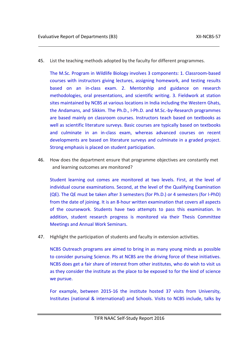45. List the teaching methods adopted by the faculty for different programmes.

The M.Sc. Program in Wildlife Biology involves 3 components: 1. Classroom-based courses with instructors giving lectures, assigning homework, and testing results based on an in-class exam. 2. Mentorship and guidance on research methodologies, oral presentations, and scientific writing. 3. Fieldwork at station sites maintained by NCBS at various locations in India including the Western Ghats, the Andamans, and Sikkim. The Ph.D., I-Ph.D. and M.Sc.-by-Research programmes are based mainly on classroom courses. Instructors teach based on textbooks as well as scientific literature surveys. Basic courses are typically based on textbooks and culminate in an in-class exam, whereas advanced courses on recent developments are based on literature surveys and culminate in a graded project. Strong emphasis is placed on student participation.

46. How does the department ensure that programme objectives are constantly met and learning outcomes are monitored?

Student learning out comes are monitored at two levels. First, at the level of individual course examinations. Second, at the level of the Qualifying Examination (QE). The QE must be taken after 3 semesters (for Ph.D.) or 4 semesters (for I-PhD) from the date of joining. It is an 8-hour written examination that covers all aspects of the coursework. Students have two attempts to pass this examination. In addition, student research progress is monitored via their Thesis Committee Meetings and Annual Work Seminars.

47. Highlight the participation of students and faculty in extension activities.

NCBS Outreach programs are aimed to bring in as many young minds as possible to consider pursuing Science. PIs at NCBS are the driving force of these initiatives. NCBS does get a fair share of interest from other institutes, who do wish to visit us as they consider the institute as the place to be exposed to for the kind of science we pursue.

For example, between 2015-16 the institute hosted 37 visits from University, Institutes (national & international) and Schools. Visits to NCBS include, talks by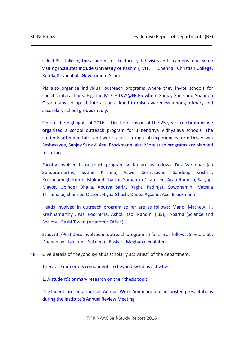select PIs, Talks by the academic office, facility, lab visits and a campus tour. Some visiting institutes include University of Kashmir, VIT, IIT Chennai, Christian College, Kerela,Devanahalli Government School.

PIs also organize individual outreach programs where they invite schools for specific interactions. E.g. the MOTH DAY@NCBS where Sanjay Sane and Shannon Olsson labs set up lab interactions aimed to raise awareness among primary and secondary school groups in July.

One of the highlights of 2016 - On the occasion of the 25 years celebrations we organized a school outreach program for 3 Kendriya Vidhyalaya schools. The students attended talks and were taken through lab experiences form Drs, Aswin Seshasayee, Sanjay Sane & Axel Brockmann labs. More such programs are planned for future.

Faculty involved in outreach program so far are as follows: Drs. Varadharajan Sundaramurthy, Sudhir Krishna, Aswin Seshasayee, Sandeep Krishna, Krushnamegh Kunte, Mukund Thattai, Sumantra Chaterjee, Arati Ramesh, Satyajit Mayor, Upinder Bhalla, Apurva Sarin, Raghu Padinjat, Sowdhamini, Vatsala Thirumalai, Shannon Olsson, Hiyaa Ghosh, Deepa Agashe, Axel Brockmann

Heads involved in outreach program so far are as follows: Manoj Mathew, H. Krishnamurthy , Ms. Poornima, Ashok Rao, Nandini (IBS), Aparna (Science and Society), Rashi Tiwari (Academic Office)

Students/Post docs involved in outreach program so far are as follows: Savita Chib, Dhananjay , Lakshmi , Sakeena , Baskar , Meghana exhibited.

48. Give details of "beyond syllabus scholarly activities" of the department.

There are numerous components to beyond-syllabus activities.

1. A student's primary research on their thesis topic.

2. Student presentations at Annual Work Seminars and in poster presentations during the Institute's Annual Review Meeting.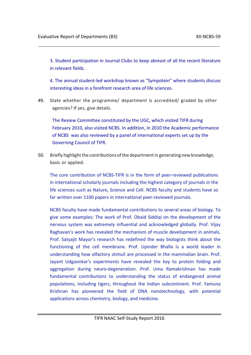3. Student participation in Journal Clubs to keep abreast of all the recent literature in relevant fields.

4. The annual student-led workshop known as "Sympotein" where students discuss interesting ideas in a forefront research area of life sciences.

49. State whether the programme/ department is accredited/ graded by other agencies? If yes, give details.

The Review Committee constituted by the UGC, which visited TIFR during February 2010, also visited NCBS. In addition, in 2010 the Academic performance of NCBS was also reviewed by a panel of international experts set up by the Governing Council of TIFR.

50. Briefly highlight the contributions of the department in generating new knowledge, basic or applied.

The core contribution of NCBS-TIFR is in the form of peer-reviewed publications in international scholarly journals including the highest category of journals in the life sciences such as Nature, Science and Cell. NCBS faculty and students have so far written over 1100 papers in international peer-reviewed journals.

NCBS faculty have made fundamental contributions to several areas of biology. To give some examples: The work of Prof. Obaid Siddiqi on the development of the nervous system was extremely influential and acknowledged globally. Prof. Vijay Raghavan's work has revealed the mechanism of muscle development in animals. Prof. Satyajit Mayor's research has redefined the way biologists think about the functioning of the cell membrane. Prof. Upinder Bhalla is a world leader in understanding how olfactory stimuli are processed in the mammalian brain. Prof. Jayant Udgaonkar's experiments have revealed the key to protein folding and aggregation during neuro-degeneration. Prof. Uma Ramakrishnan has made fundamental contributions to understanding the status of endangered animal populations, including tigers, throughout the Indian subcontinent. Prof. Yamuna Krishnan has pioneered the field of DNA nanotechnology, with potential applications across chemistry, biology, and medicine.